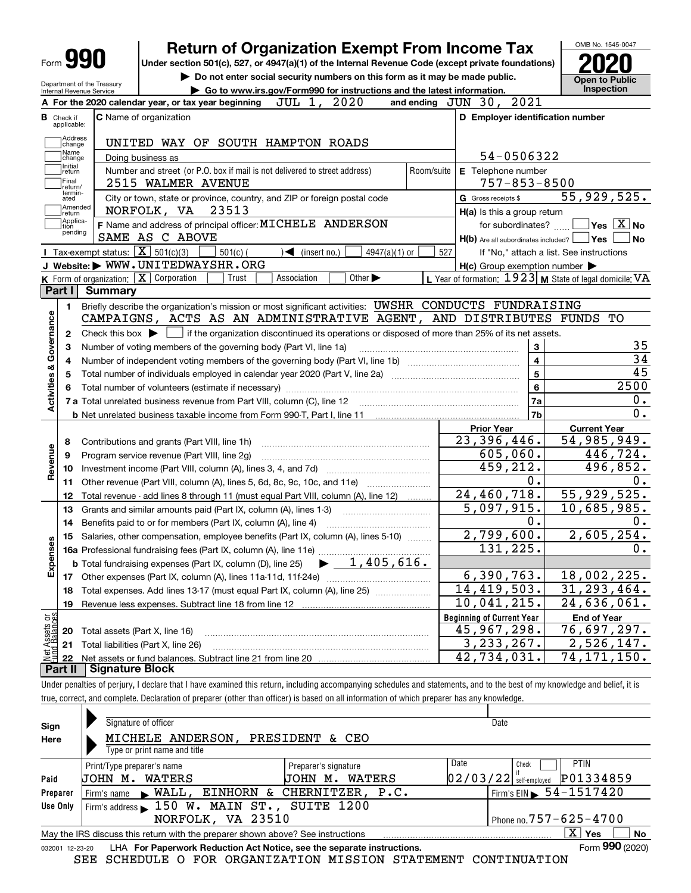| П<br>Form |  |
|-----------|--|
|-----------|--|

## **Return of Organization Exempt From Income Tax**

**Under section 501(c), 527, or 4947(a)(1) of the Internal Revenue Code (except private foundations) 2020**

Department of the Treasury Internal Revenue Service

**| Do not enter social security numbers on this form as it may be made public. | Go to www.irs.gov/Form990 for instructions and the latest information. Inspection**

OMB No. 1545-0047 **Open to Public** 

|                         |                             | 2020<br>A For the 2020 calendar year, or tax year beginning<br>JUL 1,                                                                       |            | and ending JUN 30, 2021                                               |                                                           |
|-------------------------|-----------------------------|---------------------------------------------------------------------------------------------------------------------------------------------|------------|-----------------------------------------------------------------------|-----------------------------------------------------------|
| В                       | Check if<br>applicable:     | <b>C</b> Name of organization                                                                                                               |            | D Employer identification number                                      |                                                           |
|                         | Address<br>Change           | UNITED WAY OF SOUTH HAMPTON ROADS                                                                                                           |            |                                                                       |                                                           |
|                         | Name<br>change              | Doing business as                                                                                                                           |            | 54-0506322                                                            |                                                           |
|                         | Initial<br>return           | Number and street (or P.O. box if mail is not delivered to street address)                                                                  | Room/suite | E Telephone number                                                    |                                                           |
|                         | Final<br>return/            | 2515 WALMER AVENUE                                                                                                                          |            | $757 - 853 - 8500$                                                    |                                                           |
|                         | termin-<br>ated             | City or town, state or province, country, and ZIP or foreign postal code                                                                    |            | <b>G</b> Gross receipts \$                                            | 55,929,525.                                               |
|                         | Amended<br>return           | NORFOLK, VA 23513                                                                                                                           |            | $H(a)$ is this a group return                                         |                                                           |
|                         | Applica-<br>tion<br>pending | F Name and address of principal officer: MICHELE ANDERSON<br>SAME AS C ABOVE                                                                |            | for subordinates?<br>$H(b)$ Are all subordinates included? $\Box$ Yes | $\sqrt{}$ Yes $\sqrt{}$ X $\sqrt{}$ No<br>∣No             |
|                         |                             | Tax-exempt status: $\boxed{\mathbf{X}}$ 501(c)(3)<br>$\sqrt{\bullet}$ (insert no.)<br>$501(c)$ (<br>$4947(a)(1)$ or                         | 527        |                                                                       | If "No," attach a list. See instructions                  |
|                         |                             | J Website: WWW.UNITEDWAYSHR.ORG                                                                                                             |            | $H(c)$ Group exemption number $\blacktriangleright$                   |                                                           |
|                         |                             | K Form of organization: X Corporation<br>Other $\blacktriangleright$<br>Trust<br>Association                                                |            |                                                                       | L Year of formation: $1923$ M State of legal domicile: VA |
|                         | Part I                      | <b>Summary</b>                                                                                                                              |            |                                                                       |                                                           |
|                         | 1                           | Briefly describe the organization's mission or most significant activities: UWSHR CONDUCTS FUNDRAISING                                      |            |                                                                       |                                                           |
|                         |                             | CAMPAIGNS, ACTS AS AN ADMINISTRATIVE AGENT, AND DISTRIBUTES FUNDS TO                                                                        |            |                                                                       |                                                           |
| Activities & Governance | $\mathbf{2}$                | Check this box $\blacktriangleright$ $\Box$ if the organization discontinued its operations or disposed of more than 25% of its net assets. |            |                                                                       |                                                           |
|                         | 3                           | Number of voting members of the governing body (Part VI, line 1a)                                                                           |            | 3                                                                     | 35                                                        |
|                         | 4                           |                                                                                                                                             |            | $\overline{\mathbf{4}}$                                               | $\overline{34}$                                           |
|                         | 5                           | Total number of individuals employed in calendar year 2020 (Part V, line 2a) <i>mummumumumumumum</i>                                        |            | $\overline{5}$                                                        | 45                                                        |
|                         | 6                           |                                                                                                                                             |            | 6                                                                     | 2500                                                      |
|                         |                             |                                                                                                                                             |            | 7a                                                                    | 0.                                                        |
|                         |                             |                                                                                                                                             |            | 7b                                                                    | 0.                                                        |
|                         |                             |                                                                                                                                             |            | <b>Prior Year</b>                                                     | <b>Current Year</b>                                       |
|                         | 8                           | Contributions and grants (Part VIII, line 1h)                                                                                               |            | $\overline{23,396,446}$ .                                             | $\overline{54}$ , 985, 949.                               |
| Revenue                 | 9                           | Program service revenue (Part VIII, line 2g)                                                                                                |            | 605,060.                                                              | 446,724.                                                  |
|                         | 10                          |                                                                                                                                             |            | 459,212.                                                              | 496,852.                                                  |
|                         | 11                          | Other revenue (Part VIII, column (A), lines 5, 6d, 8c, 9c, 10c, and 11e)                                                                    |            | 0.<br>24,460,718.                                                     | 0.<br>55,929,525.                                         |
|                         | 12                          | Total revenue - add lines 8 through 11 (must equal Part VIII, column (A), line 12)                                                          |            | 5,097,915.                                                            | 10,685,985.                                               |
|                         | 13                          | Grants and similar amounts paid (Part IX, column (A), lines 1-3)                                                                            |            | 0.                                                                    | 0.                                                        |
|                         | 14                          | Benefits paid to or for members (Part IX, column (A), line 4)                                                                               |            | 2,799,600.                                                            | 2,605,254.                                                |
|                         | 15                          | Salaries, other compensation, employee benefits (Part IX, column (A), lines 5-10)                                                           |            | 131, 225.                                                             | $0$ .                                                     |
| Expenses                |                             | $\blacktriangleright$ $1,405,616$ .<br><b>b</b> Total fundraising expenses (Part IX, column (D), line 25)                                   |            |                                                                       |                                                           |
|                         |                             |                                                                                                                                             |            | 6, 390, 763.                                                          | 18,002,225.                                               |
|                         | 18                          | Total expenses. Add lines 13-17 (must equal Part IX, column (A), line 25) <i>marronomical</i>                                               |            | 14, 419, 503.                                                         | 31, 293, 464.                                             |
|                         | 19                          |                                                                                                                                             |            | 10,041,215.                                                           | 24,636,061.                                               |
| äğ                      |                             |                                                                                                                                             |            | <b>Beginning of Current Year</b>                                      | <b>End of Year</b>                                        |
| ssets                   |                             | 20 Total assets (Part X, line 16)                                                                                                           |            | 45, 967, 298.                                                         | 76,697,297.                                               |
|                         |                             | 21 Total liabilities (Part X, line 26)                                                                                                      |            | 3, 233, 267.                                                          | 2,526,147.                                                |
|                         |                             |                                                                                                                                             |            | 42,734,031.                                                           | 74, 171, 150.                                             |
|                         |                             | <b>Part II</b> Signature Block                                                                                                              |            |                                                                       |                                                           |

Under penalties of perjury, I declare that I have examined this return, including accompanying schedules and statements, and to the best of my knowledge and belief, it is true, correct, and complete. Declaration of preparer (other than officer) is based on all information of which preparer has any knowledge.

| Sign            | Signature of officer                                                            |                             | Date                                   |                      |
|-----------------|---------------------------------------------------------------------------------|-----------------------------|----------------------------------------|----------------------|
| Here            | MICHELE ANDERSON.                                                               | PRESIDENT & CEO             |                                        |                      |
|                 | Type or print name and title                                                    |                             |                                        |                      |
|                 | Print/Type preparer's name                                                      | Preparer's signature        | Date<br>Check                          | <b>PTIN</b>          |
| Paid            | WATERS<br>JOHN M.                                                               | WATERS<br>м.<br><b>JOHN</b> | $02/03/22$ self-employed               | P01334859            |
| Preparer        | <b>EINHORN &amp;</b><br>Firm's name $\blacktriangleright$ WALL,                 | CHERNITZER, P.C.            | Firm's EIN $\triangleright$ 54-1517420 |                      |
| Use Only        | Firm's address 150 W. MAIN ST., SUITE 1200                                      |                             |                                        |                      |
|                 | NORFOLK, VA 23510                                                               |                             | Phone no. $757 - 625 - 4700$           |                      |
|                 | May the IRS discuss this return with the preparer shown above? See instructions |                             |                                        | $X \vert Y$ es<br>No |
| 032001 12-23-20 | LHA For Paperwork Reduction Act Notice, see the separate instructions.          |                             |                                        | Form 990 (2020)      |

SEE SCHEDULE O FOR ORGANIZATION MISSION STATEMENT CONTINUATION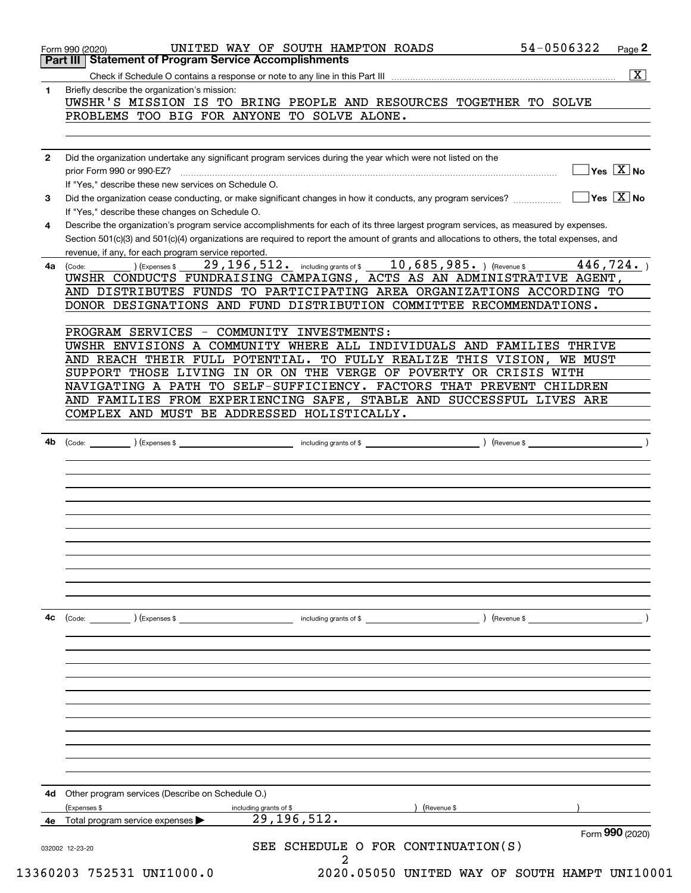| 4b | including grants of \$<br>) (Expenses \$<br>$\left($ Revenue \$ $\right)$<br>(Code: |
|----|-------------------------------------------------------------------------------------|
|    |                                                                                     |
|    |                                                                                     |
|    |                                                                                     |
|    |                                                                                     |
|    |                                                                                     |
|    |                                                                                     |
|    |                                                                                     |
|    |                                                                                     |
|    |                                                                                     |
|    |                                                                                     |
|    |                                                                                     |
|    |                                                                                     |
|    |                                                                                     |
|    |                                                                                     |
|    |                                                                                     |
|    |                                                                                     |
|    |                                                                                     |
|    |                                                                                     |
|    |                                                                                     |
|    |                                                                                     |
|    |                                                                                     |
|    |                                                                                     |
|    |                                                                                     |
|    |                                                                                     |
|    |                                                                                     |
| 4c | (Expenses \$<br>including grants of \$<br>) (Revenue \$<br>(Code:                   |
|    |                                                                                     |
|    |                                                                                     |
|    |                                                                                     |
|    |                                                                                     |
|    |                                                                                     |
|    |                                                                                     |
|    |                                                                                     |
|    |                                                                                     |
|    |                                                                                     |
|    |                                                                                     |
|    |                                                                                     |
|    |                                                                                     |
|    |                                                                                     |
|    |                                                                                     |
|    |                                                                                     |
|    |                                                                                     |
|    |                                                                                     |
|    |                                                                                     |
|    |                                                                                     |
| 4d | Other program services (Describe on Schedule O.)                                    |
|    |                                                                                     |
|    | (Expenses \$<br>including grants of \$<br>(Revenue \$                               |
|    | 29, 196, 512.<br>Total program service expenses ▶                                   |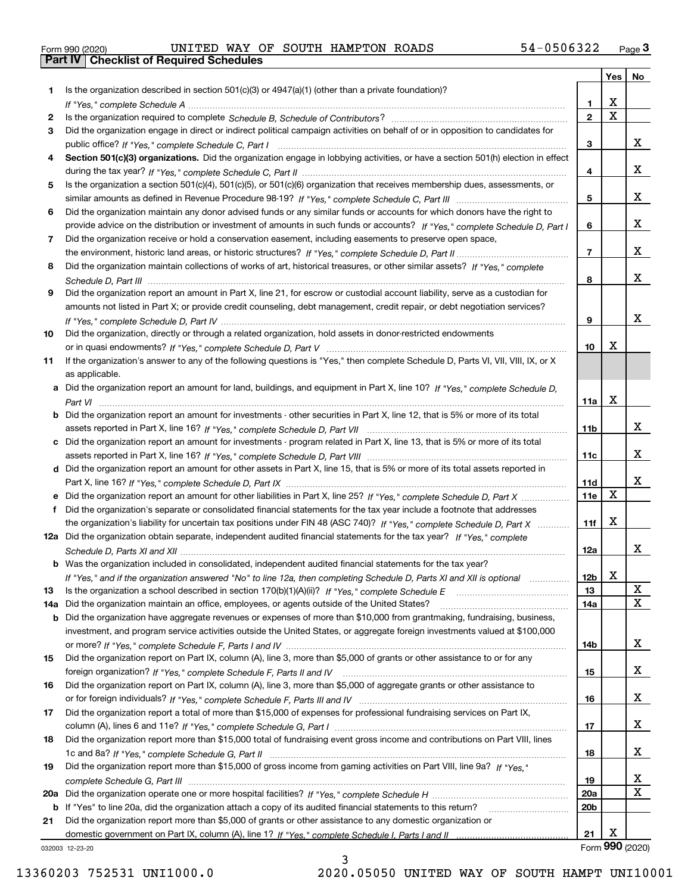|  | Form 990 (2020) |  |
|--|-----------------|--|

|     |                                                                                                                                       |                         | Yes                   | No                      |
|-----|---------------------------------------------------------------------------------------------------------------------------------------|-------------------------|-----------------------|-------------------------|
| 1.  | Is the organization described in section $501(c)(3)$ or $4947(a)(1)$ (other than a private foundation)?                               |                         |                       |                         |
|     |                                                                                                                                       | 1                       | X                     |                         |
| 2   |                                                                                                                                       | $\overline{\mathbf{2}}$ | $\overline{\text{x}}$ |                         |
| 3   | Did the organization engage in direct or indirect political campaign activities on behalf of or in opposition to candidates for       |                         |                       |                         |
|     |                                                                                                                                       | 3                       |                       | x                       |
| 4   | Section 501(c)(3) organizations. Did the organization engage in lobbying activities, or have a section 501(h) election in effect      |                         |                       |                         |
|     |                                                                                                                                       | 4                       |                       | x                       |
| 5   | Is the organization a section 501(c)(4), 501(c)(5), or 501(c)(6) organization that receives membership dues, assessments, or          |                         |                       |                         |
|     |                                                                                                                                       | 5                       |                       | x                       |
| 6   | Did the organization maintain any donor advised funds or any similar funds or accounts for which donors have the right to             |                         |                       |                         |
|     | provide advice on the distribution or investment of amounts in such funds or accounts? If "Yes," complete Schedule D, Part I          | 6                       |                       | x                       |
| 7   | Did the organization receive or hold a conservation easement, including easements to preserve open space,                             |                         |                       |                         |
|     |                                                                                                                                       | $\overline{7}$          |                       | x                       |
| 8   | Did the organization maintain collections of works of art, historical treasures, or other similar assets? If "Yes," complete          |                         |                       |                         |
|     |                                                                                                                                       | 8                       |                       | x                       |
| 9   | Did the organization report an amount in Part X, line 21, for escrow or custodial account liability, serve as a custodian for         |                         |                       |                         |
|     | amounts not listed in Part X; or provide credit counseling, debt management, credit repair, or debt negotiation services?             |                         |                       | x                       |
|     |                                                                                                                                       | 9                       |                       |                         |
| 10  | Did the organization, directly or through a related organization, hold assets in donor-restricted endowments                          |                         | x                     |                         |
|     |                                                                                                                                       | 10                      |                       |                         |
| 11  | If the organization's answer to any of the following questions is "Yes," then complete Schedule D, Parts VI, VII, VIII, IX, or X      |                         |                       |                         |
|     | as applicable.                                                                                                                        |                         |                       |                         |
|     | a Did the organization report an amount for land, buildings, and equipment in Part X, line 10? If "Yes," complete Schedule D,         | 11a                     | X                     |                         |
|     | <b>b</b> Did the organization report an amount for investments - other securities in Part X, line 12, that is 5% or more of its total |                         |                       |                         |
|     |                                                                                                                                       | 11b                     |                       | x                       |
| c   | Did the organization report an amount for investments - program related in Part X, line 13, that is 5% or more of its total           |                         |                       |                         |
|     |                                                                                                                                       | 11c                     |                       | x                       |
|     | d Did the organization report an amount for other assets in Part X, line 15, that is 5% or more of its total assets reported in       |                         |                       |                         |
|     |                                                                                                                                       | 11d                     |                       | x                       |
|     |                                                                                                                                       | 11e                     | $\mathbf X$           |                         |
| f   | Did the organization's separate or consolidated financial statements for the tax year include a footnote that addresses               |                         |                       |                         |
|     | the organization's liability for uncertain tax positions under FIN 48 (ASC 740)? If "Yes," complete Schedule D, Part X                | 11f                     | X                     |                         |
|     | 12a Did the organization obtain separate, independent audited financial statements for the tax year? If "Yes," complete               |                         |                       |                         |
|     |                                                                                                                                       | 12a                     |                       | x                       |
|     | <b>b</b> Was the organization included in consolidated, independent audited financial statements for the tax year?                    |                         |                       |                         |
|     | If "Yes," and if the organization answered "No" to line 12a, then completing Schedule D, Parts XI and XII is optional                 | 12b                     | A                     |                         |
| 13  |                                                                                                                                       | 13                      |                       | X                       |
| 14a | Did the organization maintain an office, employees, or agents outside of the United States?                                           | 14a                     |                       | $\overline{\mathbf{X}}$ |
| b   | Did the organization have aggregate revenues or expenses of more than \$10,000 from grantmaking, fundraising, business,               |                         |                       |                         |
|     | investment, and program service activities outside the United States, or aggregate foreign investments valued at \$100,000            |                         |                       |                         |
|     |                                                                                                                                       | 14b                     |                       | x                       |
| 15  | Did the organization report on Part IX, column (A), line 3, more than \$5,000 of grants or other assistance to or for any             |                         |                       |                         |
|     |                                                                                                                                       | 15                      |                       | x                       |
| 16  | Did the organization report on Part IX, column (A), line 3, more than \$5,000 of aggregate grants or other assistance to              |                         |                       |                         |
|     |                                                                                                                                       | 16                      |                       | x                       |
| 17  | Did the organization report a total of more than \$15,000 of expenses for professional fundraising services on Part IX,               |                         |                       |                         |
|     |                                                                                                                                       | 17                      |                       | x                       |
| 18  | Did the organization report more than \$15,000 total of fundraising event gross income and contributions on Part VIII, lines          |                         |                       |                         |
|     |                                                                                                                                       | 18                      |                       | x                       |
| 19  | Did the organization report more than \$15,000 of gross income from gaming activities on Part VIII, line 9a? If "Yes."                |                         |                       |                         |
|     |                                                                                                                                       | 19                      |                       | x                       |
| 20a |                                                                                                                                       | <b>20a</b>              |                       | X                       |
| b   | If "Yes" to line 20a, did the organization attach a copy of its audited financial statements to this return?                          | 20 <sub>b</sub>         |                       |                         |
| 21  | Did the organization report more than \$5,000 of grants or other assistance to any domestic organization or                           |                         |                       |                         |
|     |                                                                                                                                       | 21                      | Х                     |                         |
|     | 032003 12-23-20                                                                                                                       |                         |                       | Form 990 (2020)         |

032003 12-23-20

3 13360203 752531 UNI1000.0 2020.05050 UNITED WAY OF SOUTH HAMPT UNI10001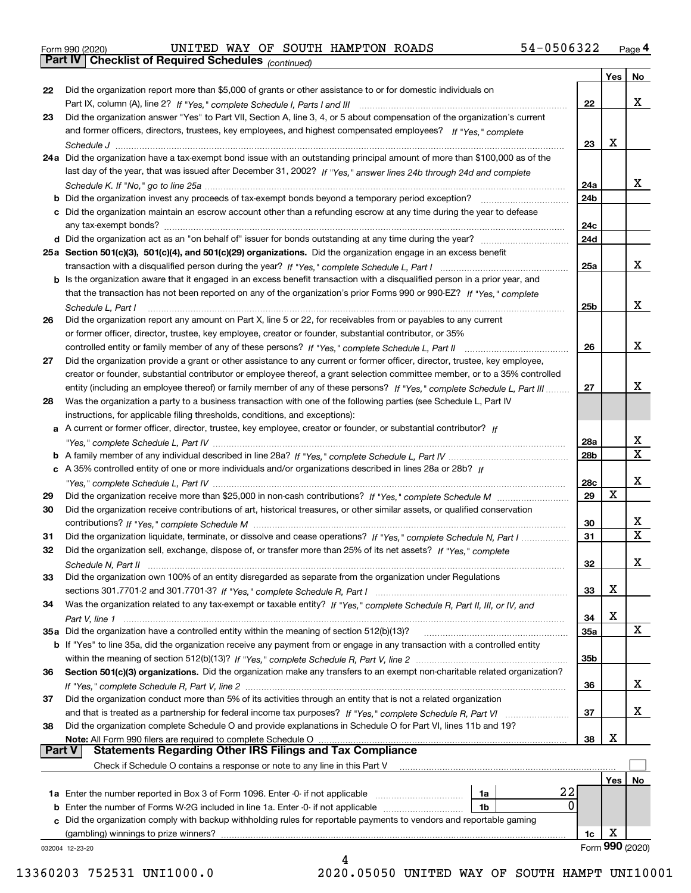|  | Form 990 (2020) |
|--|-----------------|
|  |                 |

|        |                                                                                                                                   |            | Yes | No              |
|--------|-----------------------------------------------------------------------------------------------------------------------------------|------------|-----|-----------------|
| 22     | Did the organization report more than \$5,000 of grants or other assistance to or for domestic individuals on                     |            |     |                 |
|        |                                                                                                                                   | 22         |     | х               |
| 23     | Did the organization answer "Yes" to Part VII, Section A, line 3, 4, or 5 about compensation of the organization's current        |            |     |                 |
|        | and former officers, directors, trustees, key employees, and highest compensated employees? If "Yes," complete                    |            |     |                 |
|        |                                                                                                                                   | 23         | X   |                 |
|        | 24a Did the organization have a tax-exempt bond issue with an outstanding principal amount of more than \$100,000 as of the       |            |     |                 |
|        | last day of the year, that was issued after December 31, 2002? If "Yes," answer lines 24b through 24d and complete                |            |     |                 |
|        |                                                                                                                                   | 24a        |     | х               |
|        | <b>b</b> Did the organization invest any proceeds of tax-exempt bonds beyond a temporary period exception?                        | 24b        |     |                 |
|        | c Did the organization maintain an escrow account other than a refunding escrow at any time during the year to defease            |            |     |                 |
|        |                                                                                                                                   | 24c        |     |                 |
|        |                                                                                                                                   | 24d        |     |                 |
|        | 25a Section 501(c)(3), 501(c)(4), and 501(c)(29) organizations. Did the organization engage in an excess benefit                  |            |     |                 |
|        |                                                                                                                                   | 25a        |     | x               |
|        | b Is the organization aware that it engaged in an excess benefit transaction with a disqualified person in a prior year, and      |            |     |                 |
|        | that the transaction has not been reported on any of the organization's prior Forms 990 or 990-EZ? If "Yes," complete             |            |     |                 |
|        |                                                                                                                                   | 25b        |     | х               |
|        | Schedule L. Part I                                                                                                                |            |     |                 |
| 26     | Did the organization report any amount on Part X, line 5 or 22, for receivables from or payables to any current                   |            |     |                 |
|        | or former officer, director, trustee, key employee, creator or founder, substantial contributor, or 35%                           |            |     |                 |
|        |                                                                                                                                   | 26         |     | х               |
| 27     | Did the organization provide a grant or other assistance to any current or former officer, director, trustee, key employee,       |            |     |                 |
|        | creator or founder, substantial contributor or employee thereof, a grant selection committee member, or to a 35% controlled       |            |     |                 |
|        | entity (including an employee thereof) or family member of any of these persons? If "Yes," complete Schedule L, Part III          | 27         |     | x               |
| 28     | Was the organization a party to a business transaction with one of the following parties (see Schedule L, Part IV                 |            |     |                 |
|        | instructions, for applicable filing thresholds, conditions, and exceptions):                                                      |            |     |                 |
|        | a A current or former officer, director, trustee, key employee, creator or founder, or substantial contributor? If                |            |     |                 |
|        |                                                                                                                                   | 28a        |     | x               |
|        |                                                                                                                                   | 28b        |     | $\mathbf X$     |
|        | c A 35% controlled entity of one or more individuals and/or organizations described in lines 28a or 28b? If                       |            |     |                 |
|        |                                                                                                                                   | 28c        |     | х               |
| 29     |                                                                                                                                   | 29         | х   |                 |
| 30     | Did the organization receive contributions of art, historical treasures, or other similar assets, or qualified conservation       |            |     |                 |
|        |                                                                                                                                   | 30         |     | х               |
| 31     | Did the organization liquidate, terminate, or dissolve and cease operations? If "Yes," complete Schedule N, Part I                | 31         |     | $\mathbf X$     |
| 32     | Did the organization sell, exchange, dispose of, or transfer more than 25% of its net assets? If "Yes," complete                  |            |     |                 |
|        | Schedule N, Part II                                                                                                               | 32         |     | х               |
| 33     | Did the organization own 100% of an entity disregarded as separate from the organization under Regulations                        |            |     |                 |
|        |                                                                                                                                   | 33         | Χ   |                 |
| 34     | Was the organization related to any tax-exempt or taxable entity? If "Yes," complete Schedule R, Part II, III, or IV, and         |            |     |                 |
|        |                                                                                                                                   | 34         | X   |                 |
|        | 35a Did the organization have a controlled entity within the meaning of section 512(b)(13)?                                       | <b>35a</b> |     | X               |
|        | b If "Yes" to line 35a, did the organization receive any payment from or engage in any transaction with a controlled entity       |            |     |                 |
|        |                                                                                                                                   | 35b        |     |                 |
| 36     | Section 501(c)(3) organizations. Did the organization make any transfers to an exempt non-charitable related organization?        |            |     |                 |
|        |                                                                                                                                   | 36         |     | x               |
| 37     | Did the organization conduct more than 5% of its activities through an entity that is not a related organization                  |            |     |                 |
|        |                                                                                                                                   |            |     | x               |
|        | and that is treated as a partnership for federal income tax purposes? If "Yes," complete Schedule R, Part VI                      | 37         |     |                 |
| 38     | Did the organization complete Schedule O and provide explanations in Schedule O for Part VI, lines 11b and 19?                    |            | х   |                 |
| Part V | Note: All Form 990 filers are required to complete Schedule O<br><b>Statements Regarding Other IRS Filings and Tax Compliance</b> | 38         |     |                 |
|        |                                                                                                                                   |            |     |                 |
|        | Check if Schedule O contains a response or note to any line in this Part V                                                        |            |     |                 |
|        | 22                                                                                                                                |            | Yes | No              |
|        | 1a Enter the number reported in Box 3 of Form 1096. Enter -0- if not applicable<br>1a<br>0                                        |            |     |                 |
|        | 1b                                                                                                                                |            |     |                 |
| с      | Did the organization comply with backup withholding rules for reportable payments to vendors and reportable gaming                |            |     |                 |
|        | (gambling) winnings to prize winners?                                                                                             | 1c         | X   |                 |
|        | 032004 12-23-20                                                                                                                   |            |     | Form 990 (2020) |
|        |                                                                                                                                   |            |     |                 |

 <sup>13360203 752531</sup> UNI1000.0 2020.05050 UNITED WAY OF SOUTH HAMPT UNI10001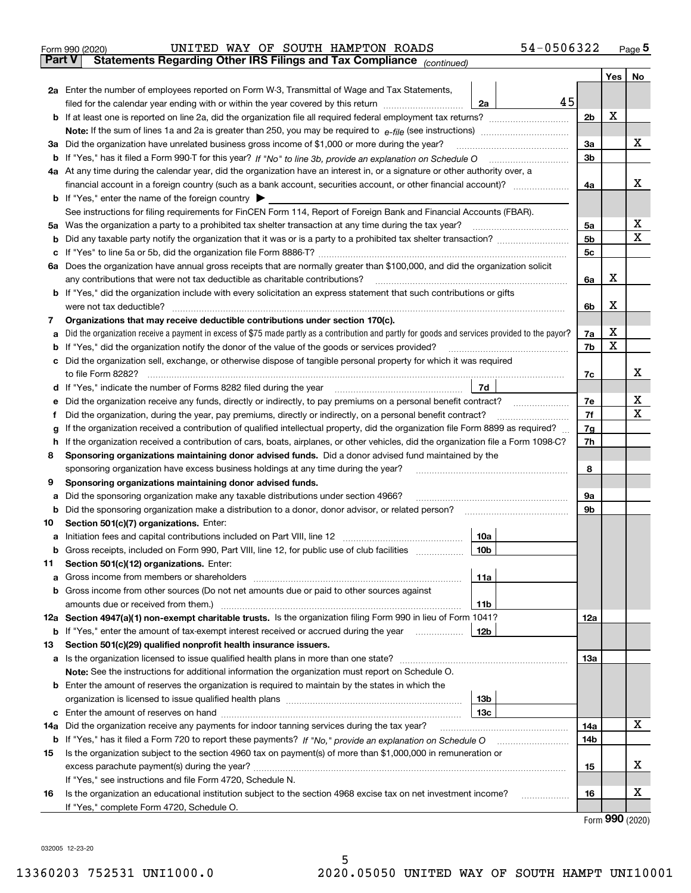| Form 990 (2020) |  |  | UNITED WAY OF SOUTH HAMPTON ROADS |                                                                                                | 54-0506322 | Page ${\bf 5}$ |
|-----------------|--|--|-----------------------------------|------------------------------------------------------------------------------------------------|------------|----------------|
|                 |  |  |                                   | <b>Part V</b> Statements Regarding Other IRS Filings and Tax Compliance <sub>(continued)</sub> |            |                |

|     | rai l V<br>Statements Regarding Other IRS Fillings and Tax Compilance $_{(continued)}$                                                          |                 |    |     |     |             |
|-----|-------------------------------------------------------------------------------------------------------------------------------------------------|-----------------|----|-----|-----|-------------|
|     |                                                                                                                                                 |                 |    |     | Yes | No          |
|     | 2a Enter the number of employees reported on Form W-3, Transmittal of Wage and Tax Statements,                                                  |                 |    |     |     |             |
|     | filed for the calendar year ending with or within the year covered by this return <i>manumumumum</i>                                            | 2a              | 45 |     |     |             |
|     |                                                                                                                                                 |                 |    | 2b  | X   |             |
|     |                                                                                                                                                 |                 |    |     |     |             |
|     | 3a Did the organization have unrelated business gross income of \$1,000 or more during the year?                                                |                 |    | За  |     | x           |
|     |                                                                                                                                                 |                 |    | 3b  |     |             |
|     | 4a At any time during the calendar year, did the organization have an interest in, or a signature or other authority over, a                    |                 |    |     |     |             |
|     |                                                                                                                                                 |                 |    | 4a  |     | x           |
|     | <b>b</b> If "Yes," enter the name of the foreign country $\triangleright$                                                                       |                 |    |     |     |             |
|     | See instructions for filing requirements for FinCEN Form 114, Report of Foreign Bank and Financial Accounts (FBAR).                             |                 |    |     |     |             |
|     | 5a Was the organization a party to a prohibited tax shelter transaction at any time during the tax year?                                        |                 |    | 5а  |     | х           |
| b   |                                                                                                                                                 |                 |    | 5b  |     | $\mathbf X$ |
| с   |                                                                                                                                                 |                 |    | 5c  |     |             |
|     | 6a Does the organization have annual gross receipts that are normally greater than \$100,000, and did the organization solicit                  |                 |    |     |     |             |
|     | any contributions that were not tax deductible as charitable contributions?                                                                     |                 |    | 6a  | x   |             |
|     | <b>b</b> If "Yes," did the organization include with every solicitation an express statement that such contributions or gifts                   |                 |    |     |     |             |
|     | were not tax deductible?                                                                                                                        |                 |    | 6b  | x   |             |
| 7   | Organizations that may receive deductible contributions under section 170(c).                                                                   |                 |    |     |     |             |
| а   | Did the organization receive a payment in excess of \$75 made partly as a contribution and partly for goods and services provided to the payor? |                 |    | 7a  | X   |             |
| b   | If "Yes," did the organization notify the donor of the value of the goods or services provided?                                                 |                 |    | 7b  | X   |             |
|     | c Did the organization sell, exchange, or otherwise dispose of tangible personal property for which it was required                             |                 |    |     |     |             |
|     | to file Form 8282?                                                                                                                              |                 |    | 7c  |     | x           |
|     | d If "Yes," indicate the number of Forms 8282 filed during the year                                                                             | 7d              |    |     |     |             |
| е   | Did the organization receive any funds, directly or indirectly, to pay premiums on a personal benefit contract?                                 |                 |    | 7e  |     | х           |
|     | Did the organization, during the year, pay premiums, directly or indirectly, on a personal benefit contract?                                    |                 |    | 7f  |     | $\mathbf X$ |
| g   | If the organization received a contribution of qualified intellectual property, did the organization file Form 8899 as required?                |                 |    | 7g  |     |             |
| h   | If the organization received a contribution of cars, boats, airplanes, or other vehicles, did the organization file a Form 1098-C?              |                 |    | 7h  |     |             |
| 8   | Sponsoring organizations maintaining donor advised funds. Did a donor advised fund maintained by the                                            |                 |    |     |     |             |
|     | sponsoring organization have excess business holdings at any time during the year?                                                              |                 |    | 8   |     |             |
| 9   | Sponsoring organizations maintaining donor advised funds.                                                                                       |                 |    |     |     |             |
| а   | Did the sponsoring organization make any taxable distributions under section 4966?                                                              |                 |    | 9а  |     |             |
| b   | Did the sponsoring organization make a distribution to a donor, donor advisor, or related person?                                               |                 |    | 9b  |     |             |
| 10  | Section 501(c)(7) organizations. Enter:                                                                                                         |                 |    |     |     |             |
| а   |                                                                                                                                                 | 10a             |    |     |     |             |
| b   | Gross receipts, included on Form 990, Part VIII, line 12, for public use of club facilities                                                     | 10 <sub>b</sub> |    |     |     |             |
| 11  | Section 501(c)(12) organizations. Enter:                                                                                                        |                 |    |     |     |             |
|     |                                                                                                                                                 | 11a             |    |     |     |             |
| b   | Gross income from other sources (Do not net amounts due or paid to other sources against                                                        |                 |    |     |     |             |
|     |                                                                                                                                                 | 11b             |    |     |     |             |
|     | 12a Section 4947(a)(1) non-exempt charitable trusts. Is the organization filing Form 990 in lieu of Form 1041?                                  |                 |    | 12a |     |             |
|     | <b>b</b> If "Yes," enter the amount of tax-exempt interest received or accrued during the year <i>manument</i>                                  | 12b             |    |     |     |             |
| 13  | Section 501(c)(29) qualified nonprofit health insurance issuers.                                                                                |                 |    |     |     |             |
| а   | Is the organization licensed to issue qualified health plans in more than one state?                                                            |                 |    | 13a |     |             |
|     | Note: See the instructions for additional information the organization must report on Schedule O.                                               |                 |    |     |     |             |
| b   | Enter the amount of reserves the organization is required to maintain by the states in which the                                                |                 |    |     |     |             |
|     |                                                                                                                                                 | 13 <sub>b</sub> |    |     |     |             |
| с   |                                                                                                                                                 | 13 <sub>c</sub> |    |     |     |             |
| 14a | Did the organization receive any payments for indoor tanning services during the tax year?                                                      |                 |    | 14a |     | x           |
| b   |                                                                                                                                                 |                 |    | 14b |     |             |
| 15  | Is the organization subject to the section 4960 tax on payment(s) of more than \$1,000,000 in remuneration or                                   |                 |    |     |     |             |
|     |                                                                                                                                                 |                 |    | 15  |     | х           |
|     | If "Yes," see instructions and file Form 4720, Schedule N.                                                                                      |                 |    |     |     |             |
| 16  | Is the organization an educational institution subject to the section 4968 excise tax on net investment income?                                 |                 |    | 16  |     | х           |
|     | If "Yes," complete Form 4720, Schedule O.                                                                                                       |                 |    |     |     |             |

Form (2020) **990**

032005 12-23-20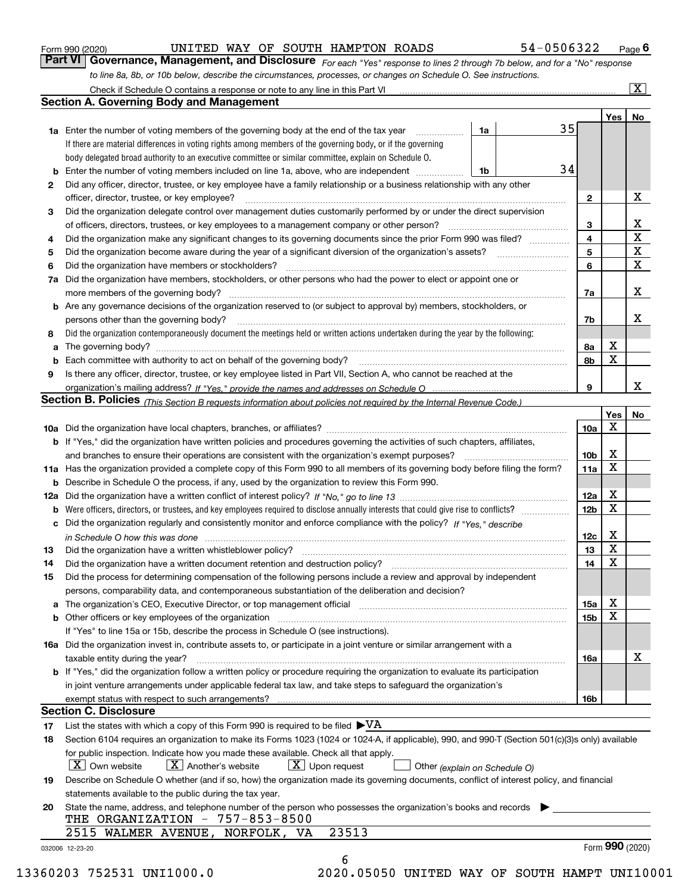|  | Form 990 (2020) |
|--|-----------------|
|  |                 |

UNITED WAY OF SOUTH HAMPTON ROADS 54-0506322

*For each "Yes" response to lines 2 through 7b below, and for a "No" response to line 8a, 8b, or 10b below, describe the circumstances, processes, or changes on Schedule O. See instructions.* Form 990 (2020) **CONVITED WAY OF SOUTH HAMPTON ROADS** 54 – 0506322 Page 6<br>**Part VI Governance, Management, and Disclosure** For each "Yes" response to lines 2 through 7b below, and for a "No" response

|              |                                                                                                                                                                            |    |    |                 | Yes   No         |             |
|--------------|----------------------------------------------------------------------------------------------------------------------------------------------------------------------------|----|----|-----------------|------------------|-------------|
|              | <b>1a</b> Enter the number of voting members of the governing body at the end of the tax year <i>manumum</i>                                                               | 1a | 35 |                 |                  |             |
|              | If there are material differences in voting rights among members of the governing body, or if the governing                                                                |    |    |                 |                  |             |
|              | body delegated broad authority to an executive committee or similar committee, explain on Schedule O.                                                                      |    |    |                 |                  |             |
|              |                                                                                                                                                                            | 1b | 34 |                 |                  |             |
| $\mathbf{2}$ | Did any officer, director, trustee, or key employee have a family relationship or a business relationship with any other                                                   |    |    |                 |                  |             |
|              | officer, director, trustee, or key employee?                                                                                                                               |    |    | $\mathbf{2}$    |                  | X           |
| 3            | Did the organization delegate control over management duties customarily performed by or under the direct supervision                                                      |    |    |                 |                  |             |
|              |                                                                                                                                                                            |    |    | 3               |                  | X           |
| 4            | Did the organization make any significant changes to its governing documents since the prior Form 990 was filed?                                                           |    |    | 4               |                  | $\mathbf X$ |
| 5            |                                                                                                                                                                            |    |    | 5               |                  | $\mathbf X$ |
| 6            | Did the organization have members or stockholders?                                                                                                                         |    |    | 6               |                  | X           |
|              | 7a Did the organization have members, stockholders, or other persons who had the power to elect or appoint one or                                                          |    |    |                 |                  |             |
|              |                                                                                                                                                                            |    |    | 7a              |                  | X           |
|              | <b>b</b> Are any governance decisions of the organization reserved to (or subject to approval by) members, stockholders, or                                                |    |    |                 |                  |             |
|              | persons other than the governing body?                                                                                                                                     |    |    | 7b              |                  | Х           |
| 8            | Did the organization contemporaneously document the meetings held or written actions undertaken during the year by the following:                                          |    |    |                 |                  |             |
| a            |                                                                                                                                                                            |    |    | 8a              | X                |             |
|              |                                                                                                                                                                            |    |    | 8b              | $\mathbf X$      |             |
| 9            | Is there any officer, director, trustee, or key employee listed in Part VII, Section A, who cannot be reached at the                                                       |    |    |                 |                  |             |
|              |                                                                                                                                                                            |    |    | 9               |                  | X           |
|              | Section B. Policies <sub>(This</sub> Section B requests information about policies not required by the Internal Revenue Code.)                                             |    |    |                 |                  |             |
|              |                                                                                                                                                                            |    |    |                 | Yes              | No          |
|              |                                                                                                                                                                            |    |    | 10a             | $\mathbf X$      |             |
|              | <b>b</b> If "Yes," did the organization have written policies and procedures governing the activities of such chapters, affiliates,                                        |    |    |                 |                  |             |
|              |                                                                                                                                                                            |    |    | 10 <sub>b</sub> | X                |             |
|              | 11a Has the organization provided a complete copy of this Form 990 to all members of its governing body before filing the form?                                            |    |    | 11a             | $\mathbf X$      |             |
|              |                                                                                                                                                                            |    |    |                 |                  |             |
|              | <b>b</b> Describe in Schedule O the process, if any, used by the organization to review this Form 990.                                                                     |    |    |                 | X                |             |
|              |                                                                                                                                                                            |    |    | 12a             | X                |             |
| b            |                                                                                                                                                                            |    |    | 12 <sub>b</sub> |                  |             |
|              | c Did the organization regularly and consistently monitor and enforce compliance with the policy? If "Yes," describe                                                       |    |    |                 |                  |             |
|              | in Schedule O how this was done www.communication.com/www.communications.com/www.communications.com/                                                                       |    |    | 12c             | X<br>$\mathbf X$ |             |
| 13           |                                                                                                                                                                            |    |    | 13              |                  |             |
| 14           | Did the organization have a written document retention and destruction policy? manufactured and the organization have a written document retention and destruction policy? |    |    | 14              | $\mathbf X$      |             |
| 15           | Did the process for determining compensation of the following persons include a review and approval by independent                                                         |    |    |                 |                  |             |
|              | persons, comparability data, and contemporaneous substantiation of the deliberation and decision?                                                                          |    |    |                 |                  |             |
|              |                                                                                                                                                                            |    |    | 15a             | X                |             |
|              | <b>b</b> Other officers or key employees of the organization                                                                                                               |    |    | 15b             | X                |             |
|              | If "Yes" to line 15a or 15b, describe the process in Schedule O (see instructions).                                                                                        |    |    |                 |                  |             |
|              | 16a Did the organization invest in, contribute assets to, or participate in a joint venture or similar arrangement with a                                                  |    |    |                 |                  |             |
|              | taxable entity during the year?                                                                                                                                            |    |    | 16a             |                  | х           |
|              | b If "Yes," did the organization follow a written policy or procedure requiring the organization to evaluate its participation                                             |    |    |                 |                  |             |
|              | in joint venture arrangements under applicable federal tax law, and take steps to safeguard the organization's                                                             |    |    |                 |                  |             |
|              | exempt status with respect to such arrangements?                                                                                                                           |    |    | <b>16b</b>      |                  |             |
|              | <b>Section C. Disclosure</b>                                                                                                                                               |    |    |                 |                  |             |
| 17           | List the states with which a copy of this Form 990 is required to be filed $\blacktriangleright\text{VA}$                                                                  |    |    |                 |                  |             |
| 18           | Section 6104 requires an organization to make its Forms 1023 (1024 or 1024-A, if applicable), 990, and 990-T (Section 501(c)(3)s only) available                           |    |    |                 |                  |             |
|              | for public inspection. Indicate how you made these available. Check all that apply.                                                                                        |    |    |                 |                  |             |
|              | $X$ Upon request<br>$ X $ Own website<br>$X$ Another's website<br>Other (explain on Schedule O)                                                                            |    |    |                 |                  |             |
| 19           | Describe on Schedule O whether (and if so, how) the organization made its governing documents, conflict of interest policy, and financial                                  |    |    |                 |                  |             |
|              | statements available to the public during the tax year.                                                                                                                    |    |    |                 |                  |             |
| 20           | State the name, address, and telephone number of the person who possesses the organization's books and records                                                             |    |    |                 |                  |             |
|              | THE ORGANIZATION - 757-853-8500                                                                                                                                            |    |    |                 |                  |             |
|              | 23513<br>2515 WALMER AVENUE, NORFOLK, VA                                                                                                                                   |    |    |                 |                  |             |
|              |                                                                                                                                                                            |    |    |                 | Form 990 (2020)  |             |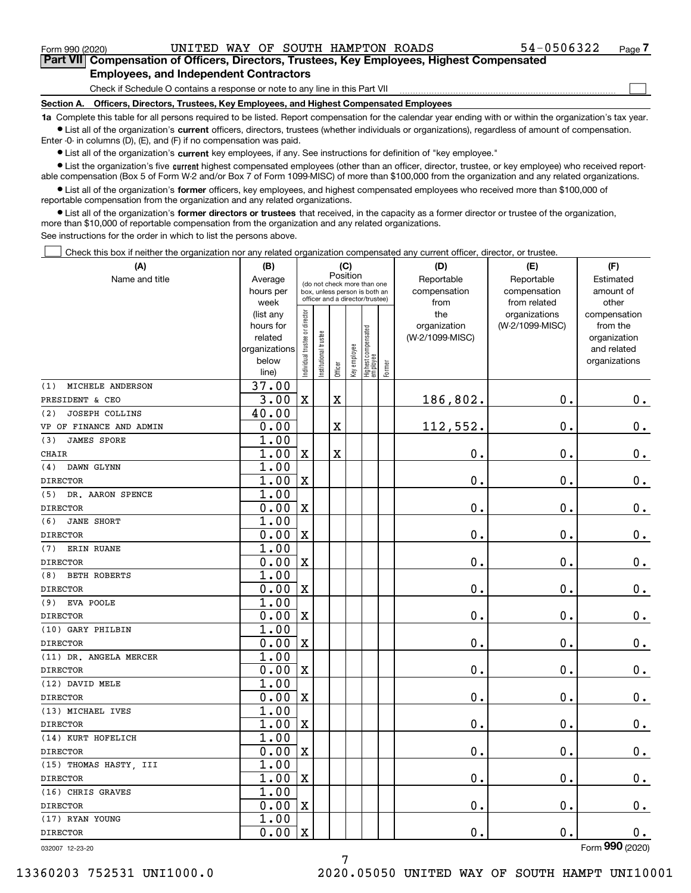$\mathcal{L}^{\text{max}}$ 

**7Part VII Compensation of Officers, Directors, Trustees, Key Employees, Highest Compensated Employees, and Independent Contractors**

Check if Schedule O contains a response or note to any line in this Part VII

**Section A. Officers, Directors, Trustees, Key Employees, and Highest Compensated Employees**

**1a**  Complete this table for all persons required to be listed. Report compensation for the calendar year ending with or within the organization's tax year. **•** List all of the organization's current officers, directors, trustees (whether individuals or organizations), regardless of amount of compensation.

Enter -0- in columns (D), (E), and (F) if no compensation was paid.

 $\bullet$  List all of the organization's  $\,$ current key employees, if any. See instructions for definition of "key employee."

**•** List the organization's five current highest compensated employees (other than an officer, director, trustee, or key employee) who received reportable compensation (Box 5 of Form W-2 and/or Box 7 of Form 1099-MISC) of more than \$100,000 from the organization and any related organizations.

**•** List all of the organization's former officers, key employees, and highest compensated employees who received more than \$100,000 of reportable compensation from the organization and any related organizations.

**former directors or trustees**  ¥ List all of the organization's that received, in the capacity as a former director or trustee of the organization, more than \$10,000 of reportable compensation from the organization and any related organizations.

See instructions for the order in which to list the persons above.

Check this box if neither the organization nor any related organization compensated any current officer, director, or trustee.  $\mathcal{L}^{\text{max}}$ 

| (A)                          | (B)               |                               |                                                                  | (C)         |              |                                  |        | (D)             | (E)                           | (F)                   |
|------------------------------|-------------------|-------------------------------|------------------------------------------------------------------|-------------|--------------|----------------------------------|--------|-----------------|-------------------------------|-----------------------|
| Name and title               | Average           |                               | (do not check more than one                                      | Position    |              |                                  |        | Reportable      | Reportable                    | Estimated             |
|                              | hours per         |                               | box, unless person is both an<br>officer and a director/trustee) |             |              |                                  |        | compensation    | compensation                  | amount of             |
|                              | week<br>(list any |                               |                                                                  |             |              |                                  |        | from<br>the     | from related<br>organizations | other<br>compensation |
|                              | hours for         |                               |                                                                  |             |              |                                  |        | organization    | (W-2/1099-MISC)               | from the              |
|                              | related           |                               |                                                                  |             |              |                                  |        | (W-2/1099-MISC) |                               | organization          |
|                              | organizations     |                               |                                                                  |             |              |                                  |        |                 |                               | and related           |
|                              | below             | ndividual trustee or director | nstitutional trustee                                             |             | Key employee | Highest compensated<br> employee |        |                 |                               | organizations         |
|                              | line)             |                               |                                                                  | Officer     |              |                                  | Former |                 |                               |                       |
| MICHELE ANDERSON<br>(1)      | 37.00             |                               |                                                                  |             |              |                                  |        |                 |                               |                       |
| PRESIDENT & CEO              | 3.00              | $\mathbf X$                   |                                                                  | $\mathbf X$ |              |                                  |        | 186,802.        | 0.                            | $0_{.}$               |
| <b>JOSEPH COLLINS</b><br>(2) | 40.00             |                               |                                                                  |             |              |                                  |        |                 |                               |                       |
| VP OF FINANCE AND ADMIN      | 0.00              |                               |                                                                  | $\mathbf X$ |              |                                  |        | 112,552.        | $\mathbf 0$ .                 | $\mathbf 0$ .         |
| <b>JAMES SPORE</b><br>(3)    | 1.00              |                               |                                                                  |             |              |                                  |        |                 |                               |                       |
| <b>CHAIR</b>                 | 1.00              | $\mathbf X$                   |                                                                  | $\mathbf X$ |              |                                  |        | 0.              | $\mathbf 0$ .                 | $\mathbf 0$ .         |
| (4)<br>DAWN GLYNN            | 1.00              |                               |                                                                  |             |              |                                  |        |                 |                               |                       |
| <b>DIRECTOR</b>              | 1.00              | $\overline{\text{X}}$         |                                                                  |             |              |                                  |        | 0.              | 0.                            | $\mathbf 0$ .         |
| DR. AARON SPENCE<br>(5)      | 1.00              |                               |                                                                  |             |              |                                  |        |                 |                               |                       |
| <b>DIRECTOR</b>              | 0.00              | $\mathbf X$                   |                                                                  |             |              |                                  |        | 0.              | $\mathbf 0$ .                 | $0_{.}$               |
| <b>JANE SHORT</b><br>(6)     | 1.00              |                               |                                                                  |             |              |                                  |        |                 |                               |                       |
| <b>DIRECTOR</b>              | 0.00              | $\mathbf X$                   |                                                                  |             |              |                                  |        | 0.              | $\mathbf 0$ .                 | $\mathbf 0$ .         |
| <b>ERIN RUANE</b><br>(7)     | 1.00              |                               |                                                                  |             |              |                                  |        |                 |                               |                       |
| <b>DIRECTOR</b>              | 0.00              | $\mathbf X$                   |                                                                  |             |              |                                  |        | 0.              | $\mathbf 0$ .                 | $\mathbf 0$ .         |
| <b>BETH ROBERTS</b><br>(8)   | 1.00              |                               |                                                                  |             |              |                                  |        |                 |                               |                       |
| <b>DIRECTOR</b>              | 0.00              | $\overline{\textbf{X}}$       |                                                                  |             |              |                                  |        | 0.              | $\mathbf 0$ .                 | $\mathbf 0$ .         |
| (9) EVA POOLE                | 1.00              |                               |                                                                  |             |              |                                  |        |                 |                               |                       |
| <b>DIRECTOR</b>              | 0.00              | $\mathbf X$                   |                                                                  |             |              |                                  |        | 0.              | $\mathbf 0$ .                 | $\mathbf 0$ .         |
| (10) GARY PHILBIN            | 1.00              |                               |                                                                  |             |              |                                  |        |                 |                               |                       |
| <b>DIRECTOR</b>              | 0.00              | $\overline{\textbf{X}}$       |                                                                  |             |              |                                  |        | 0.              | $\mathbf 0$ .                 | 0.                    |
| (11) DR. ANGELA MERCER       | 1.00              |                               |                                                                  |             |              |                                  |        |                 |                               |                       |
| <b>DIRECTOR</b>              | 0.00              | $\mathbf X$                   |                                                                  |             |              |                                  |        | 0.              | $\mathbf 0$ .                 | $0_{.}$               |
| (12) DAVID MELE              | 1.00              |                               |                                                                  |             |              |                                  |        |                 |                               |                       |
| <b>DIRECTOR</b>              | 0.00              | $\overline{\textbf{X}}$       |                                                                  |             |              |                                  |        | 0.              | $\mathbf 0$ .                 | $0$ .                 |
| (13) MICHAEL IVES            | 1.00              |                               |                                                                  |             |              |                                  |        |                 |                               |                       |
| <b>DIRECTOR</b>              | 1.00              | $\mathbf X$                   |                                                                  |             |              |                                  |        | 0.              | $\mathbf 0$ .                 | 0.                    |
| (14) KURT HOFELICH           | 1.00              |                               |                                                                  |             |              |                                  |        |                 |                               |                       |
| <b>DIRECTOR</b>              | 0.00              | $\overline{\mathbf{X}}$       |                                                                  |             |              |                                  |        | 0.              | $\mathbf 0$ .                 | $\mathbf 0$ .         |
| (15) THOMAS HASTY, III       | 1.00              |                               |                                                                  |             |              |                                  |        |                 |                               |                       |
| <b>DIRECTOR</b>              | 1.00              | $\mathbf X$                   |                                                                  |             |              |                                  |        | 0.              | $\mathbf 0$ .                 | $0$ .                 |
| (16) CHRIS GRAVES            | 1.00              |                               |                                                                  |             |              |                                  |        |                 |                               |                       |
| <b>DIRECTOR</b>              | 0.00              | $\rm X$                       |                                                                  |             |              |                                  |        | 0.              | $\mathbf 0$ .                 | $\mathbf 0$ .         |
| (17) RYAN YOUNG              | 1.00              |                               |                                                                  |             |              |                                  |        |                 |                               |                       |
| <b>DIRECTOR</b>              | 0.00              | $\mathbf X$                   |                                                                  |             |              |                                  |        | 0.              | $\mathbf{0}$ .                | 0.                    |
|                              |                   |                               |                                                                  |             |              |                                  |        |                 |                               |                       |

7

032007 12-23-20

Form (2020) **990**

13360203 752531 UNI1000.0 2020.05050 UNITED WAY OF SOUTH HAMPT UNI10001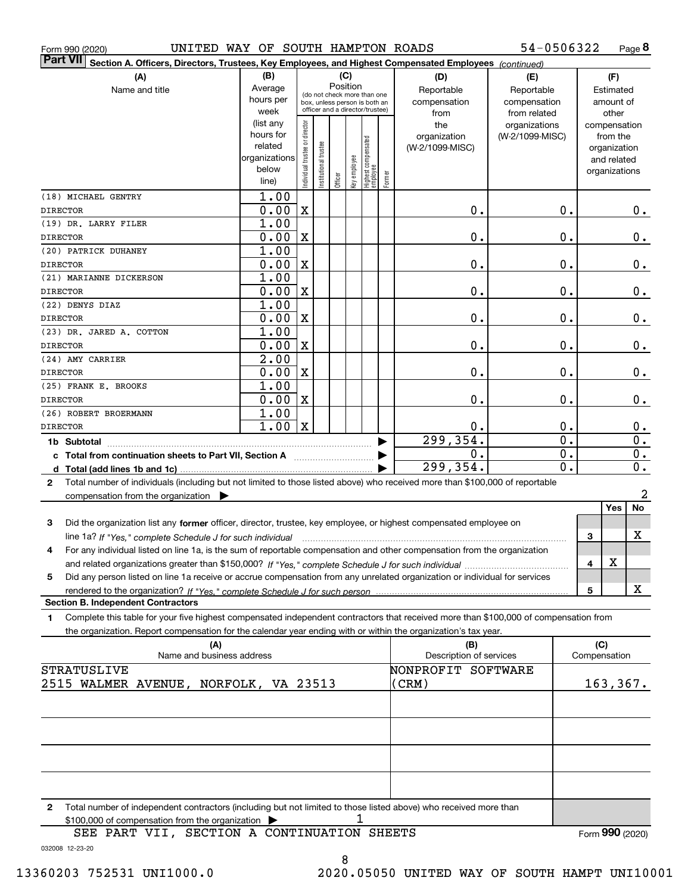|  | Form 990 (2020) |  |
|--|-----------------|--|
|  |                 |  |

Form 990 (2020) UNITED WAY OF SOUTH HAMPTON ROADS 54-0506322 Page

**8** 54-0506322

|                          | $\vert$ Part VII $\vert$ Section A. Officers, Directors, Trustees, Key Employees, and Highest Compensated Employees $\vert$ $_{\rm {Continued)}}$ |                   |                               |                       |          |              |                                                              |        |                         |                 |                  |     |               |                  |
|--------------------------|---------------------------------------------------------------------------------------------------------------------------------------------------|-------------------|-------------------------------|-----------------------|----------|--------------|--------------------------------------------------------------|--------|-------------------------|-----------------|------------------|-----|---------------|------------------|
|                          | (A)                                                                                                                                               | (B)               |                               |                       |          | (C)          |                                                              |        | (D)                     | (E)             |                  |     | (F)           |                  |
|                          | Name and title                                                                                                                                    | Average           |                               |                       | Position |              |                                                              |        | Reportable              | Reportable      |                  |     | Estimated     |                  |
|                          |                                                                                                                                                   | hours per         |                               |                       |          |              | (do not check more than one<br>box, unless person is both an |        | compensation            | compensation    |                  |     | amount of     |                  |
|                          |                                                                                                                                                   | week              |                               |                       |          |              | officer and a director/trustee)                              |        | from                    | from related    |                  |     | other         |                  |
|                          |                                                                                                                                                   | (list any         |                               |                       |          |              |                                                              |        | the                     | organizations   |                  |     | compensation  |                  |
|                          |                                                                                                                                                   | hours for         |                               |                       |          |              |                                                              |        | organization            | (W-2/1099-MISC) |                  |     | from the      |                  |
|                          |                                                                                                                                                   | related           |                               |                       |          |              |                                                              |        | (W-2/1099-MISC)         |                 |                  |     | organization  |                  |
|                          |                                                                                                                                                   | organizations     |                               |                       |          |              |                                                              |        |                         |                 |                  |     | and related   |                  |
|                          |                                                                                                                                                   | below             | ndividual trustee or director | Institutional trustee |          | Key employee |                                                              |        |                         |                 |                  |     | organizations |                  |
|                          |                                                                                                                                                   | line)             |                               |                       | Officer  |              | Highest compensated<br>  employee                            | Former |                         |                 |                  |     |               |                  |
| (18) MICHAEL GENTRY      |                                                                                                                                                   | 1.00              |                               |                       |          |              |                                                              |        |                         |                 |                  |     |               |                  |
| <b>DIRECTOR</b>          |                                                                                                                                                   | 0.00              | $\mathbf X$                   |                       |          |              |                                                              |        | 0.                      |                 | 0.               |     |               | 0.               |
| (19) DR. LARRY FILER     |                                                                                                                                                   | 1.00              |                               |                       |          |              |                                                              |        |                         |                 |                  |     |               |                  |
| <b>DIRECTOR</b>          |                                                                                                                                                   | 0.00              | $\mathbf X$                   |                       |          |              |                                                              |        | 0.                      |                 | 0.               |     |               | 0.               |
| (20) PATRICK DUHANEY     |                                                                                                                                                   | 1.00              |                               |                       |          |              |                                                              |        |                         |                 |                  |     |               |                  |
| <b>DIRECTOR</b>          |                                                                                                                                                   | 0.00              | $\mathbf X$                   |                       |          |              |                                                              |        | 0.                      |                 | 0.               |     |               | 0.               |
|                          |                                                                                                                                                   | 1.00              |                               |                       |          |              |                                                              |        |                         |                 |                  |     |               |                  |
| (21) MARIANNE DICKERSON  |                                                                                                                                                   |                   |                               |                       |          |              |                                                              |        |                         |                 |                  |     |               |                  |
| <b>DIRECTOR</b>          |                                                                                                                                                   | 0.00              | $\mathbf X$                   |                       |          |              |                                                              |        | 0.                      |                 | 0.               |     |               | 0.               |
| (22) DENYS DIAZ          |                                                                                                                                                   | 1.00              |                               |                       |          |              |                                                              |        |                         |                 |                  |     |               |                  |
| <b>DIRECTOR</b>          |                                                                                                                                                   | 0.00              | $\mathbf X$                   |                       |          |              |                                                              |        | 0.                      |                 | 0.               |     |               | 0.               |
| (23) DR. JARED A. COTTON |                                                                                                                                                   | 1.00              |                               |                       |          |              |                                                              |        |                         |                 |                  |     |               |                  |
| <b>DIRECTOR</b>          |                                                                                                                                                   | 0.00              | $\mathbf X$                   |                       |          |              |                                                              |        | 0.                      |                 | 0.               |     |               | 0.               |
| (24) AMY CARRIER         |                                                                                                                                                   | $\overline{2.00}$ |                               |                       |          |              |                                                              |        |                         |                 |                  |     |               |                  |
| <b>DIRECTOR</b>          |                                                                                                                                                   | 0.00              | $\mathbf X$                   |                       |          |              |                                                              |        | 0.                      |                 | 0.               |     |               | 0.               |
| (25) FRANK E. BROOKS     |                                                                                                                                                   | 1.00              |                               |                       |          |              |                                                              |        |                         |                 |                  |     |               |                  |
| <b>DIRECTOR</b>          |                                                                                                                                                   | 0.00              | $\mathbf X$                   |                       |          |              |                                                              |        | 0.                      |                 | 0.               |     |               | 0.               |
| (26) ROBERT BROERMANN    |                                                                                                                                                   | 1.00              |                               |                       |          |              |                                                              |        |                         |                 |                  |     |               |                  |
|                          |                                                                                                                                                   | 1.00              |                               |                       |          |              |                                                              |        |                         |                 |                  |     |               |                  |
| <b>DIRECTOR</b>          |                                                                                                                                                   |                   | $\mathbf X$                   |                       |          |              |                                                              |        | 0.                      |                 | 0.               |     |               | $0_{.}$          |
|                          |                                                                                                                                                   |                   |                               |                       |          |              |                                                              |        | 299, 354.               |                 | $\overline{0}$ . |     |               | $\overline{0}$ . |
|                          | c Total from continuation sheets to Part VII, Section A                                                                                           |                   |                               |                       |          |              |                                                              |        | 0.                      |                 | $\overline{0}$ . |     |               | $\mathbf 0$ .    |
|                          |                                                                                                                                                   |                   |                               |                       |          |              |                                                              |        | 299, 354.               |                 | $\overline{0}$ . |     |               | 0.               |
| $\mathbf{2}$             | Total number of individuals (including but not limited to those listed above) who received more than \$100,000 of reportable                      |                   |                               |                       |          |              |                                                              |        |                         |                 |                  |     |               |                  |
|                          | compensation from the organization $\blacktriangleright$                                                                                          |                   |                               |                       |          |              |                                                              |        |                         |                 |                  |     |               | $\overline{a}$   |
|                          |                                                                                                                                                   |                   |                               |                       |          |              |                                                              |        |                         |                 |                  |     | Yes           | No               |
| 3                        | Did the organization list any former officer, director, trustee, key employee, or highest compensated employee on                                 |                   |                               |                       |          |              |                                                              |        |                         |                 |                  |     |               |                  |
|                          | line 1a? If "Yes," complete Schedule J for such individual                                                                                        |                   |                               |                       |          |              |                                                              |        |                         |                 |                  | 3   |               | Χ                |
| 4                        | For any individual listed on line 1a, is the sum of reportable compensation and other compensation from the organization                          |                   |                               |                       |          |              |                                                              |        |                         |                 |                  |     |               |                  |
|                          |                                                                                                                                                   |                   |                               |                       |          |              |                                                              |        |                         |                 |                  | 4   | X             |                  |
|                          |                                                                                                                                                   |                   |                               |                       |          |              |                                                              |        |                         |                 |                  |     |               |                  |
| 5                        | Did any person listed on line 1a receive or accrue compensation from any unrelated organization or individual for services                        |                   |                               |                       |          |              |                                                              |        |                         |                 |                  |     |               |                  |
|                          |                                                                                                                                                   |                   |                               |                       |          |              |                                                              |        |                         |                 |                  | 5   |               | х                |
|                          | <b>Section B. Independent Contractors</b>                                                                                                         |                   |                               |                       |          |              |                                                              |        |                         |                 |                  |     |               |                  |
| 1                        | Complete this table for your five highest compensated independent contractors that received more than \$100,000 of compensation from              |                   |                               |                       |          |              |                                                              |        |                         |                 |                  |     |               |                  |
|                          | the organization. Report compensation for the calendar year ending with or within the organization's tax year.                                    |                   |                               |                       |          |              |                                                              |        |                         |                 |                  |     |               |                  |
|                          | (A)                                                                                                                                               |                   |                               |                       |          |              |                                                              |        | (B)                     |                 |                  | (C) |               |                  |
|                          | Name and business address                                                                                                                         |                   |                               |                       |          |              |                                                              |        | Description of services |                 |                  |     | Compensation  |                  |
| STRATUSLIVE              |                                                                                                                                                   |                   |                               |                       |          |              |                                                              |        | NONPROFIT SOFTWARE      |                 |                  |     |               |                  |
|                          | 2515 WALMER AVENUE,                                                                                                                               | NORFOLK, VA 23513 |                               |                       |          |              |                                                              |        | (CRM)                   |                 |                  |     | 163, 367.     |                  |
|                          |                                                                                                                                                   |                   |                               |                       |          |              |                                                              |        |                         |                 |                  |     |               |                  |
|                          |                                                                                                                                                   |                   |                               |                       |          |              |                                                              |        |                         |                 |                  |     |               |                  |
|                          |                                                                                                                                                   |                   |                               |                       |          |              |                                                              |        |                         |                 |                  |     |               |                  |
|                          |                                                                                                                                                   |                   |                               |                       |          |              |                                                              |        |                         |                 |                  |     |               |                  |
|                          |                                                                                                                                                   |                   |                               |                       |          |              |                                                              |        |                         |                 |                  |     |               |                  |
|                          |                                                                                                                                                   |                   |                               |                       |          |              |                                                              |        |                         |                 |                  |     |               |                  |
|                          |                                                                                                                                                   |                   |                               |                       |          |              |                                                              |        |                         |                 |                  |     |               |                  |
| 2                        | Total number of independent contractors (including but not limited to those listed above) who received more than                                  |                   |                               |                       |          |              |                                                              |        |                         |                 |                  |     |               |                  |
|                          | \$100,000 of compensation from the organization                                                                                                   |                   |                               |                       |          | 1            |                                                              |        |                         |                 |                  |     |               |                  |

032008 12-23-20 SEE PART VII, SECTION A CONTINUATION SHEETS Form (2020) **990**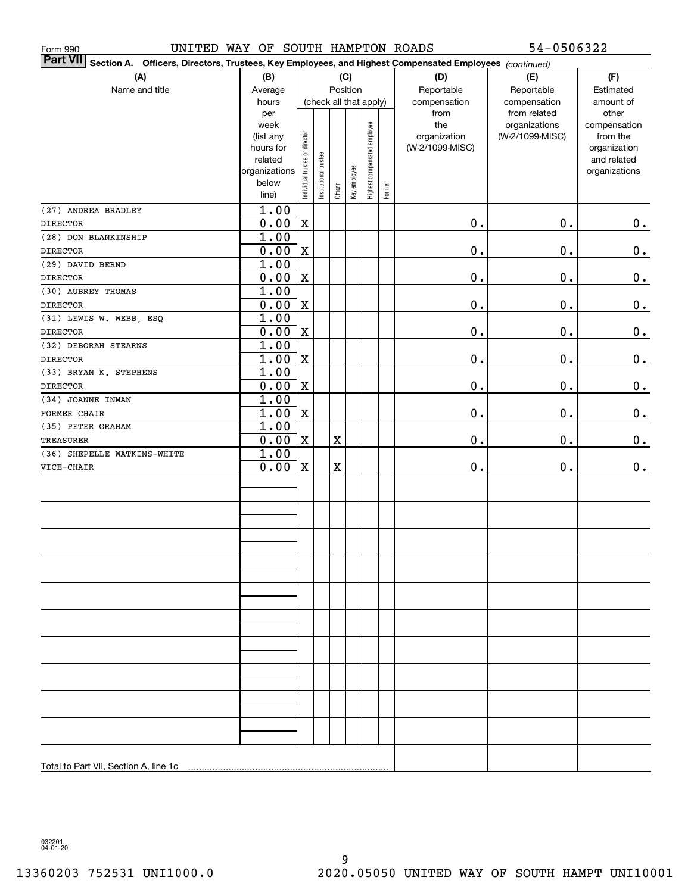| UNITED WAY OF SOUTH HAMPTON ROADS<br>Form 990                                                                   |                        |                                |                       |             |                        |                              |        |                 | 54-0506322                    |                       |
|-----------------------------------------------------------------------------------------------------------------|------------------------|--------------------------------|-----------------------|-------------|------------------------|------------------------------|--------|-----------------|-------------------------------|-----------------------|
| Part VII Section A. Officers, Directors, Trustees, Key Employees, and Highest Compensated Employees (continued) |                        |                                |                       |             |                        |                              |        |                 |                               |                       |
| (A)                                                                                                             | (B)                    |                                |                       |             | (C)                    |                              |        | (D)             | (E)                           | (F)                   |
| Name and title                                                                                                  | Average                |                                |                       |             | Position               |                              |        | Reportable      | Reportable                    | Estimated             |
|                                                                                                                 | hours                  |                                |                       |             | (check all that apply) |                              |        | compensation    | compensation                  | amount of             |
|                                                                                                                 | per<br>week            |                                |                       |             |                        |                              |        | from<br>the     | from related<br>organizations | other<br>compensation |
|                                                                                                                 | (list any              |                                |                       |             |                        |                              |        | organization    | (W-2/1099-MISC)               | from the              |
|                                                                                                                 | hours for              |                                |                       |             |                        |                              |        | (W-2/1099-MISC) |                               | organization          |
|                                                                                                                 | related                |                                |                       |             |                        |                              |        |                 |                               | and related           |
|                                                                                                                 | organizations<br>below |                                |                       |             |                        |                              |        |                 |                               | organizations         |
|                                                                                                                 | line)                  | Individual trustee or director | Institutional trustee | Officer     | Key employee           | Highest compensated employee | Former |                 |                               |                       |
| (27) ANDREA BRADLEY                                                                                             | 1.00                   |                                |                       |             |                        |                              |        |                 |                               |                       |
| <b>DIRECTOR</b>                                                                                                 | 0.00                   | X                              |                       |             |                        |                              |        | $0$ .           | $\mathbf 0$ .                 | 0.                    |
| (28) DON BLANKINSHIP                                                                                            | 1.00                   |                                |                       |             |                        |                              |        |                 |                               |                       |
| <b>DIRECTOR</b>                                                                                                 | 0.00                   | X                              |                       |             |                        |                              |        | $0$ .           | 0.                            | 0.                    |
| (29) DAVID BERND                                                                                                | 1.00                   |                                |                       |             |                        |                              |        |                 |                               |                       |
| <b>DIRECTOR</b>                                                                                                 | 0.00                   | X                              |                       |             |                        |                              |        | $0$ .           | 0.                            | 0.                    |
| (30) AUBREY THOMAS                                                                                              | 1.00                   |                                |                       |             |                        |                              |        |                 |                               |                       |
| <b>DIRECTOR</b>                                                                                                 | 0.00                   | X                              |                       |             |                        |                              |        | $0$ .           | 0.                            | 0.                    |
| (31) LEWIS W. WEBB, ESQ                                                                                         | 1.00                   |                                |                       |             |                        |                              |        |                 |                               |                       |
| <b>DIRECTOR</b>                                                                                                 | 0.00                   | X                              |                       |             |                        |                              |        | $0$ .           | $\mathbf 0$ .                 | 0.                    |
| (32) DEBORAH STEARNS                                                                                            | 1.00                   |                                |                       |             |                        |                              |        |                 |                               |                       |
| <b>DIRECTOR</b>                                                                                                 | 1.00                   | X                              |                       |             |                        |                              |        | $0$ .           | $\mathbf 0$ .                 | 0.                    |
| (33) BRYAN K. STEPHENS                                                                                          | 1.00                   |                                |                       |             |                        |                              |        |                 |                               |                       |
| <b>DIRECTOR</b>                                                                                                 | 0.00                   | X                              |                       |             |                        |                              |        | $0$ .           | $\mathbf 0$ .                 | 0.                    |
| (34) JOANNE INMAN                                                                                               | 1.00                   |                                |                       |             |                        |                              |        |                 |                               |                       |
| FORMER CHAIR                                                                                                    | 1.00                   | X                              |                       |             |                        |                              |        | $0$ .           | $\mathbf 0$ .                 | 0.                    |
| (35) PETER GRAHAM                                                                                               | 1.00                   |                                |                       |             |                        |                              |        | $0$ .           | $\mathbf 0$ .                 |                       |
| TREASURER<br>(36) SHEPELLE WATKINS-WHITE                                                                        | 0.00<br>1.00           | X                              |                       | $\mathbf X$ |                        |                              |        |                 |                               | 0.                    |
| VICE-CHAIR                                                                                                      | 0.00                   | X                              |                       | $\mathbf X$ |                        |                              |        | 0.              | 0.                            | 0.                    |
|                                                                                                                 |                        |                                |                       |             |                        |                              |        |                 |                               |                       |
|                                                                                                                 |                        |                                |                       |             |                        |                              |        |                 |                               |                       |
|                                                                                                                 |                        |                                |                       |             |                        |                              |        |                 |                               |                       |
|                                                                                                                 |                        |                                |                       |             |                        |                              |        |                 |                               |                       |
|                                                                                                                 |                        |                                |                       |             |                        |                              |        |                 |                               |                       |
|                                                                                                                 |                        |                                |                       |             |                        |                              |        |                 |                               |                       |
|                                                                                                                 |                        |                                |                       |             |                        |                              |        |                 |                               |                       |
|                                                                                                                 |                        |                                |                       |             |                        |                              |        |                 |                               |                       |
|                                                                                                                 |                        |                                |                       |             |                        |                              |        |                 |                               |                       |
|                                                                                                                 |                        |                                |                       |             |                        |                              |        |                 |                               |                       |
|                                                                                                                 |                        |                                |                       |             |                        |                              |        |                 |                               |                       |
|                                                                                                                 |                        |                                |                       |             |                        |                              |        |                 |                               |                       |
|                                                                                                                 |                        |                                |                       |             |                        |                              |        |                 |                               |                       |
|                                                                                                                 |                        |                                |                       |             |                        |                              |        |                 |                               |                       |
|                                                                                                                 |                        |                                |                       |             |                        |                              |        |                 |                               |                       |
|                                                                                                                 |                        |                                |                       |             |                        |                              |        |                 |                               |                       |
|                                                                                                                 |                        |                                |                       |             |                        |                              |        |                 |                               |                       |
|                                                                                                                 |                        |                                |                       |             |                        |                              |        |                 |                               |                       |
|                                                                                                                 |                        |                                |                       |             |                        |                              |        |                 |                               |                       |
|                                                                                                                 |                        |                                |                       |             |                        |                              |        |                 |                               |                       |
| Total to Part VII, Section A, line 1c                                                                           |                        |                                |                       |             |                        |                              |        |                 |                               |                       |
|                                                                                                                 |                        |                                |                       |             |                        |                              |        |                 |                               |                       |

032201 04-01-20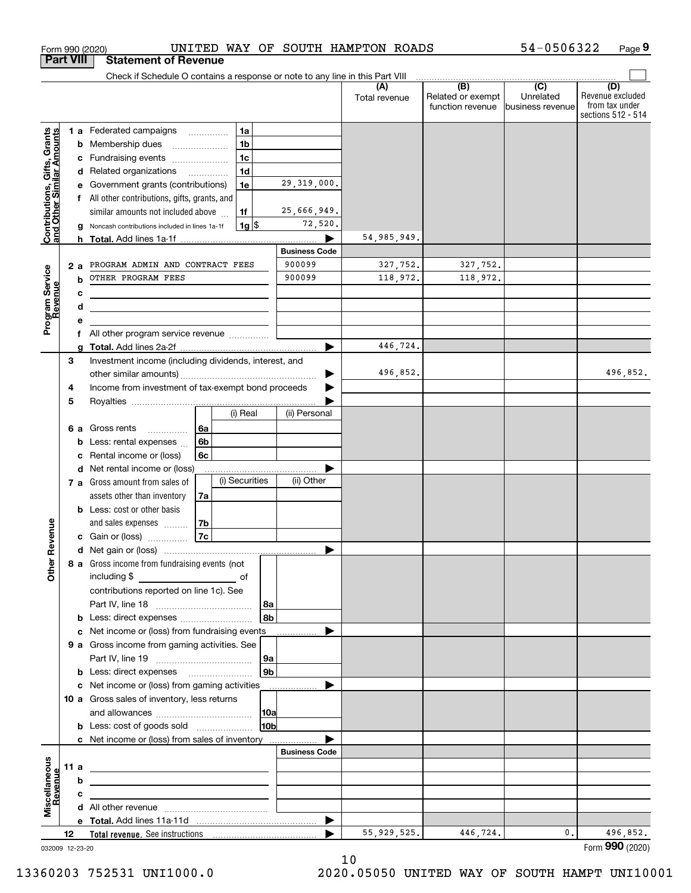| Check if Schedule O contains a response or note to any line in this Part VIII<br>(B)<br>$\overline{C}$<br>(D)<br>(A)<br>Related or exempt<br>Unrelated<br>Total revenue<br>from tax under<br>function revenue<br>business revenue<br>Contributions, Gifts, Grants<br>and Other Similar Amounts<br>1a<br><b>1 a</b> Federated campaigns<br>1 <sub>b</sub><br>Membership dues<br>b<br>1 <sub>c</sub><br>Fundraising events<br>c<br>1 <sub>d</sub><br>d Related organizations<br>29, 319, 000.<br>1e<br>Government grants (contributions)<br>All other contributions, gifts, grants, and<br>25,666,949.<br>1f<br>similar amounts not included above<br>72,520.<br>$1g$ \$<br>Noncash contributions included in lines 1a-1f<br>54,985,949.<br><b>Business Code</b><br>900099<br>327,752.<br>327,752.<br>PROGRAM ADMIN AND CONTRACT FEES<br>2a<br>Program Service<br>Revenue<br>900099<br>118,972.<br>OTHER PROGRAM FEES<br>118,972.<br>b<br>с<br>d<br>All other program service revenue<br>f<br>446,724.<br>▶<br>3<br>Investment income (including dividends, interest, and<br>496,852.<br>496,852.<br>Income from investment of tax-exempt bond proceeds<br>4<br>5<br>(i) Real<br>(ii) Personal<br>Gross rents<br>6a<br>6а<br>.<br>6b<br>Less: rental expenses<br>b<br>6c<br>Rental income or (loss)<br>с<br>d Net rental income or (loss)<br>.<br>(i) Securities<br>(ii) Other<br>7 a Gross amount from sales of<br>assets other than inventory<br>7a<br><b>b</b> Less: cost or other basis<br>Revenue<br>and sales expenses<br>7b<br>7c<br>c Gain or (loss)<br>8 a Gross income from fundraising events (not<br>Othe<br>including \$<br>contributions reported on line 1c). See<br>  8a<br>8b<br><b>b</b> Less: direct expenses <i>manually contained</i><br>c Net income or (loss) from fundraising events<br>9 a Gross income from gaming activities. See<br>9а<br>9 <sub>b</sub><br><b>b</b> Less: direct expenses <b>manually</b><br>c Net income or (loss) from gaming activities _______________<br>10 a Gross sales of inventory, less returns<br> 10a<br>10bl<br><b>b</b> Less: cost of goods sold<br>c Net income or (loss) from sales of inventory<br><b>Business Code</b><br>Miscellaneous<br>11 a<br><u> 1989 - Johann Barn, mars ann an t-Amhain ann an t-Amhain an t-Amhain an t-Amhain an t-Amhain an t-Amhain an t-</u><br>Revenue<br>b<br>с<br>the contract of the contract of the contract of the contract of the contract of<br>496,852.<br>55, 929, 525.<br>446,724.<br>0.<br>12<br>032009 12-23-20 | <b>Part VIII</b> | <b>Statement of Revenue</b> |  |  |                                        |
|------------------------------------------------------------------------------------------------------------------------------------------------------------------------------------------------------------------------------------------------------------------------------------------------------------------------------------------------------------------------------------------------------------------------------------------------------------------------------------------------------------------------------------------------------------------------------------------------------------------------------------------------------------------------------------------------------------------------------------------------------------------------------------------------------------------------------------------------------------------------------------------------------------------------------------------------------------------------------------------------------------------------------------------------------------------------------------------------------------------------------------------------------------------------------------------------------------------------------------------------------------------------------------------------------------------------------------------------------------------------------------------------------------------------------------------------------------------------------------------------------------------------------------------------------------------------------------------------------------------------------------------------------------------------------------------------------------------------------------------------------------------------------------------------------------------------------------------------------------------------------------------------------------------------------------------------------------------------------------------------------------------------------------------------------------------------------------------------------------------------------------------------------------------------------------------------------------------------------------------------------------------------------------------------------------------------------------------------------------------------------------------------------------------------------------------------------------------------------------------------------------------------|------------------|-----------------------------|--|--|----------------------------------------|
|                                                                                                                                                                                                                                                                                                                                                                                                                                                                                                                                                                                                                                                                                                                                                                                                                                                                                                                                                                                                                                                                                                                                                                                                                                                                                                                                                                                                                                                                                                                                                                                                                                                                                                                                                                                                                                                                                                                                                                                                                                                                                                                                                                                                                                                                                                                                                                                                                                                                                                                        |                  |                             |  |  |                                        |
|                                                                                                                                                                                                                                                                                                                                                                                                                                                                                                                                                                                                                                                                                                                                                                                                                                                                                                                                                                                                                                                                                                                                                                                                                                                                                                                                                                                                                                                                                                                                                                                                                                                                                                                                                                                                                                                                                                                                                                                                                                                                                                                                                                                                                                                                                                                                                                                                                                                                                                                        |                  |                             |  |  | Revenue excluded<br>sections 512 - 514 |
|                                                                                                                                                                                                                                                                                                                                                                                                                                                                                                                                                                                                                                                                                                                                                                                                                                                                                                                                                                                                                                                                                                                                                                                                                                                                                                                                                                                                                                                                                                                                                                                                                                                                                                                                                                                                                                                                                                                                                                                                                                                                                                                                                                                                                                                                                                                                                                                                                                                                                                                        |                  |                             |  |  |                                        |
|                                                                                                                                                                                                                                                                                                                                                                                                                                                                                                                                                                                                                                                                                                                                                                                                                                                                                                                                                                                                                                                                                                                                                                                                                                                                                                                                                                                                                                                                                                                                                                                                                                                                                                                                                                                                                                                                                                                                                                                                                                                                                                                                                                                                                                                                                                                                                                                                                                                                                                                        |                  |                             |  |  |                                        |
|                                                                                                                                                                                                                                                                                                                                                                                                                                                                                                                                                                                                                                                                                                                                                                                                                                                                                                                                                                                                                                                                                                                                                                                                                                                                                                                                                                                                                                                                                                                                                                                                                                                                                                                                                                                                                                                                                                                                                                                                                                                                                                                                                                                                                                                                                                                                                                                                                                                                                                                        |                  |                             |  |  |                                        |
|                                                                                                                                                                                                                                                                                                                                                                                                                                                                                                                                                                                                                                                                                                                                                                                                                                                                                                                                                                                                                                                                                                                                                                                                                                                                                                                                                                                                                                                                                                                                                                                                                                                                                                                                                                                                                                                                                                                                                                                                                                                                                                                                                                                                                                                                                                                                                                                                                                                                                                                        |                  |                             |  |  |                                        |
|                                                                                                                                                                                                                                                                                                                                                                                                                                                                                                                                                                                                                                                                                                                                                                                                                                                                                                                                                                                                                                                                                                                                                                                                                                                                                                                                                                                                                                                                                                                                                                                                                                                                                                                                                                                                                                                                                                                                                                                                                                                                                                                                                                                                                                                                                                                                                                                                                                                                                                                        |                  |                             |  |  |                                        |
|                                                                                                                                                                                                                                                                                                                                                                                                                                                                                                                                                                                                                                                                                                                                                                                                                                                                                                                                                                                                                                                                                                                                                                                                                                                                                                                                                                                                                                                                                                                                                                                                                                                                                                                                                                                                                                                                                                                                                                                                                                                                                                                                                                                                                                                                                                                                                                                                                                                                                                                        |                  |                             |  |  |                                        |
|                                                                                                                                                                                                                                                                                                                                                                                                                                                                                                                                                                                                                                                                                                                                                                                                                                                                                                                                                                                                                                                                                                                                                                                                                                                                                                                                                                                                                                                                                                                                                                                                                                                                                                                                                                                                                                                                                                                                                                                                                                                                                                                                                                                                                                                                                                                                                                                                                                                                                                                        |                  |                             |  |  |                                        |
|                                                                                                                                                                                                                                                                                                                                                                                                                                                                                                                                                                                                                                                                                                                                                                                                                                                                                                                                                                                                                                                                                                                                                                                                                                                                                                                                                                                                                                                                                                                                                                                                                                                                                                                                                                                                                                                                                                                                                                                                                                                                                                                                                                                                                                                                                                                                                                                                                                                                                                                        |                  |                             |  |  |                                        |
|                                                                                                                                                                                                                                                                                                                                                                                                                                                                                                                                                                                                                                                                                                                                                                                                                                                                                                                                                                                                                                                                                                                                                                                                                                                                                                                                                                                                                                                                                                                                                                                                                                                                                                                                                                                                                                                                                                                                                                                                                                                                                                                                                                                                                                                                                                                                                                                                                                                                                                                        |                  |                             |  |  |                                        |
|                                                                                                                                                                                                                                                                                                                                                                                                                                                                                                                                                                                                                                                                                                                                                                                                                                                                                                                                                                                                                                                                                                                                                                                                                                                                                                                                                                                                                                                                                                                                                                                                                                                                                                                                                                                                                                                                                                                                                                                                                                                                                                                                                                                                                                                                                                                                                                                                                                                                                                                        |                  |                             |  |  |                                        |
|                                                                                                                                                                                                                                                                                                                                                                                                                                                                                                                                                                                                                                                                                                                                                                                                                                                                                                                                                                                                                                                                                                                                                                                                                                                                                                                                                                                                                                                                                                                                                                                                                                                                                                                                                                                                                                                                                                                                                                                                                                                                                                                                                                                                                                                                                                                                                                                                                                                                                                                        |                  |                             |  |  |                                        |
|                                                                                                                                                                                                                                                                                                                                                                                                                                                                                                                                                                                                                                                                                                                                                                                                                                                                                                                                                                                                                                                                                                                                                                                                                                                                                                                                                                                                                                                                                                                                                                                                                                                                                                                                                                                                                                                                                                                                                                                                                                                                                                                                                                                                                                                                                                                                                                                                                                                                                                                        |                  |                             |  |  |                                        |
|                                                                                                                                                                                                                                                                                                                                                                                                                                                                                                                                                                                                                                                                                                                                                                                                                                                                                                                                                                                                                                                                                                                                                                                                                                                                                                                                                                                                                                                                                                                                                                                                                                                                                                                                                                                                                                                                                                                                                                                                                                                                                                                                                                                                                                                                                                                                                                                                                                                                                                                        |                  |                             |  |  |                                        |
|                                                                                                                                                                                                                                                                                                                                                                                                                                                                                                                                                                                                                                                                                                                                                                                                                                                                                                                                                                                                                                                                                                                                                                                                                                                                                                                                                                                                                                                                                                                                                                                                                                                                                                                                                                                                                                                                                                                                                                                                                                                                                                                                                                                                                                                                                                                                                                                                                                                                                                                        |                  |                             |  |  |                                        |
|                                                                                                                                                                                                                                                                                                                                                                                                                                                                                                                                                                                                                                                                                                                                                                                                                                                                                                                                                                                                                                                                                                                                                                                                                                                                                                                                                                                                                                                                                                                                                                                                                                                                                                                                                                                                                                                                                                                                                                                                                                                                                                                                                                                                                                                                                                                                                                                                                                                                                                                        |                  |                             |  |  |                                        |
|                                                                                                                                                                                                                                                                                                                                                                                                                                                                                                                                                                                                                                                                                                                                                                                                                                                                                                                                                                                                                                                                                                                                                                                                                                                                                                                                                                                                                                                                                                                                                                                                                                                                                                                                                                                                                                                                                                                                                                                                                                                                                                                                                                                                                                                                                                                                                                                                                                                                                                                        |                  |                             |  |  |                                        |
|                                                                                                                                                                                                                                                                                                                                                                                                                                                                                                                                                                                                                                                                                                                                                                                                                                                                                                                                                                                                                                                                                                                                                                                                                                                                                                                                                                                                                                                                                                                                                                                                                                                                                                                                                                                                                                                                                                                                                                                                                                                                                                                                                                                                                                                                                                                                                                                                                                                                                                                        |                  |                             |  |  |                                        |
|                                                                                                                                                                                                                                                                                                                                                                                                                                                                                                                                                                                                                                                                                                                                                                                                                                                                                                                                                                                                                                                                                                                                                                                                                                                                                                                                                                                                                                                                                                                                                                                                                                                                                                                                                                                                                                                                                                                                                                                                                                                                                                                                                                                                                                                                                                                                                                                                                                                                                                                        |                  |                             |  |  |                                        |
|                                                                                                                                                                                                                                                                                                                                                                                                                                                                                                                                                                                                                                                                                                                                                                                                                                                                                                                                                                                                                                                                                                                                                                                                                                                                                                                                                                                                                                                                                                                                                                                                                                                                                                                                                                                                                                                                                                                                                                                                                                                                                                                                                                                                                                                                                                                                                                                                                                                                                                                        |                  |                             |  |  |                                        |
|                                                                                                                                                                                                                                                                                                                                                                                                                                                                                                                                                                                                                                                                                                                                                                                                                                                                                                                                                                                                                                                                                                                                                                                                                                                                                                                                                                                                                                                                                                                                                                                                                                                                                                                                                                                                                                                                                                                                                                                                                                                                                                                                                                                                                                                                                                                                                                                                                                                                                                                        |                  |                             |  |  |                                        |
|                                                                                                                                                                                                                                                                                                                                                                                                                                                                                                                                                                                                                                                                                                                                                                                                                                                                                                                                                                                                                                                                                                                                                                                                                                                                                                                                                                                                                                                                                                                                                                                                                                                                                                                                                                                                                                                                                                                                                                                                                                                                                                                                                                                                                                                                                                                                                                                                                                                                                                                        |                  |                             |  |  |                                        |
|                                                                                                                                                                                                                                                                                                                                                                                                                                                                                                                                                                                                                                                                                                                                                                                                                                                                                                                                                                                                                                                                                                                                                                                                                                                                                                                                                                                                                                                                                                                                                                                                                                                                                                                                                                                                                                                                                                                                                                                                                                                                                                                                                                                                                                                                                                                                                                                                                                                                                                                        |                  |                             |  |  |                                        |
|                                                                                                                                                                                                                                                                                                                                                                                                                                                                                                                                                                                                                                                                                                                                                                                                                                                                                                                                                                                                                                                                                                                                                                                                                                                                                                                                                                                                                                                                                                                                                                                                                                                                                                                                                                                                                                                                                                                                                                                                                                                                                                                                                                                                                                                                                                                                                                                                                                                                                                                        |                  |                             |  |  |                                        |
|                                                                                                                                                                                                                                                                                                                                                                                                                                                                                                                                                                                                                                                                                                                                                                                                                                                                                                                                                                                                                                                                                                                                                                                                                                                                                                                                                                                                                                                                                                                                                                                                                                                                                                                                                                                                                                                                                                                                                                                                                                                                                                                                                                                                                                                                                                                                                                                                                                                                                                                        |                  |                             |  |  |                                        |
|                                                                                                                                                                                                                                                                                                                                                                                                                                                                                                                                                                                                                                                                                                                                                                                                                                                                                                                                                                                                                                                                                                                                                                                                                                                                                                                                                                                                                                                                                                                                                                                                                                                                                                                                                                                                                                                                                                                                                                                                                                                                                                                                                                                                                                                                                                                                                                                                                                                                                                                        |                  |                             |  |  |                                        |
|                                                                                                                                                                                                                                                                                                                                                                                                                                                                                                                                                                                                                                                                                                                                                                                                                                                                                                                                                                                                                                                                                                                                                                                                                                                                                                                                                                                                                                                                                                                                                                                                                                                                                                                                                                                                                                                                                                                                                                                                                                                                                                                                                                                                                                                                                                                                                                                                                                                                                                                        |                  |                             |  |  |                                        |
|                                                                                                                                                                                                                                                                                                                                                                                                                                                                                                                                                                                                                                                                                                                                                                                                                                                                                                                                                                                                                                                                                                                                                                                                                                                                                                                                                                                                                                                                                                                                                                                                                                                                                                                                                                                                                                                                                                                                                                                                                                                                                                                                                                                                                                                                                                                                                                                                                                                                                                                        |                  |                             |  |  |                                        |
|                                                                                                                                                                                                                                                                                                                                                                                                                                                                                                                                                                                                                                                                                                                                                                                                                                                                                                                                                                                                                                                                                                                                                                                                                                                                                                                                                                                                                                                                                                                                                                                                                                                                                                                                                                                                                                                                                                                                                                                                                                                                                                                                                                                                                                                                                                                                                                                                                                                                                                                        |                  |                             |  |  |                                        |
|                                                                                                                                                                                                                                                                                                                                                                                                                                                                                                                                                                                                                                                                                                                                                                                                                                                                                                                                                                                                                                                                                                                                                                                                                                                                                                                                                                                                                                                                                                                                                                                                                                                                                                                                                                                                                                                                                                                                                                                                                                                                                                                                                                                                                                                                                                                                                                                                                                                                                                                        |                  |                             |  |  |                                        |
|                                                                                                                                                                                                                                                                                                                                                                                                                                                                                                                                                                                                                                                                                                                                                                                                                                                                                                                                                                                                                                                                                                                                                                                                                                                                                                                                                                                                                                                                                                                                                                                                                                                                                                                                                                                                                                                                                                                                                                                                                                                                                                                                                                                                                                                                                                                                                                                                                                                                                                                        |                  |                             |  |  |                                        |
|                                                                                                                                                                                                                                                                                                                                                                                                                                                                                                                                                                                                                                                                                                                                                                                                                                                                                                                                                                                                                                                                                                                                                                                                                                                                                                                                                                                                                                                                                                                                                                                                                                                                                                                                                                                                                                                                                                                                                                                                                                                                                                                                                                                                                                                                                                                                                                                                                                                                                                                        |                  |                             |  |  |                                        |
|                                                                                                                                                                                                                                                                                                                                                                                                                                                                                                                                                                                                                                                                                                                                                                                                                                                                                                                                                                                                                                                                                                                                                                                                                                                                                                                                                                                                                                                                                                                                                                                                                                                                                                                                                                                                                                                                                                                                                                                                                                                                                                                                                                                                                                                                                                                                                                                                                                                                                                                        |                  |                             |  |  |                                        |
|                                                                                                                                                                                                                                                                                                                                                                                                                                                                                                                                                                                                                                                                                                                                                                                                                                                                                                                                                                                                                                                                                                                                                                                                                                                                                                                                                                                                                                                                                                                                                                                                                                                                                                                                                                                                                                                                                                                                                                                                                                                                                                                                                                                                                                                                                                                                                                                                                                                                                                                        |                  |                             |  |  |                                        |
|                                                                                                                                                                                                                                                                                                                                                                                                                                                                                                                                                                                                                                                                                                                                                                                                                                                                                                                                                                                                                                                                                                                                                                                                                                                                                                                                                                                                                                                                                                                                                                                                                                                                                                                                                                                                                                                                                                                                                                                                                                                                                                                                                                                                                                                                                                                                                                                                                                                                                                                        |                  |                             |  |  |                                        |
|                                                                                                                                                                                                                                                                                                                                                                                                                                                                                                                                                                                                                                                                                                                                                                                                                                                                                                                                                                                                                                                                                                                                                                                                                                                                                                                                                                                                                                                                                                                                                                                                                                                                                                                                                                                                                                                                                                                                                                                                                                                                                                                                                                                                                                                                                                                                                                                                                                                                                                                        |                  |                             |  |  |                                        |
|                                                                                                                                                                                                                                                                                                                                                                                                                                                                                                                                                                                                                                                                                                                                                                                                                                                                                                                                                                                                                                                                                                                                                                                                                                                                                                                                                                                                                                                                                                                                                                                                                                                                                                                                                                                                                                                                                                                                                                                                                                                                                                                                                                                                                                                                                                                                                                                                                                                                                                                        |                  |                             |  |  |                                        |
|                                                                                                                                                                                                                                                                                                                                                                                                                                                                                                                                                                                                                                                                                                                                                                                                                                                                                                                                                                                                                                                                                                                                                                                                                                                                                                                                                                                                                                                                                                                                                                                                                                                                                                                                                                                                                                                                                                                                                                                                                                                                                                                                                                                                                                                                                                                                                                                                                                                                                                                        |                  |                             |  |  |                                        |
|                                                                                                                                                                                                                                                                                                                                                                                                                                                                                                                                                                                                                                                                                                                                                                                                                                                                                                                                                                                                                                                                                                                                                                                                                                                                                                                                                                                                                                                                                                                                                                                                                                                                                                                                                                                                                                                                                                                                                                                                                                                                                                                                                                                                                                                                                                                                                                                                                                                                                                                        |                  |                             |  |  |                                        |
|                                                                                                                                                                                                                                                                                                                                                                                                                                                                                                                                                                                                                                                                                                                                                                                                                                                                                                                                                                                                                                                                                                                                                                                                                                                                                                                                                                                                                                                                                                                                                                                                                                                                                                                                                                                                                                                                                                                                                                                                                                                                                                                                                                                                                                                                                                                                                                                                                                                                                                                        |                  |                             |  |  |                                        |
|                                                                                                                                                                                                                                                                                                                                                                                                                                                                                                                                                                                                                                                                                                                                                                                                                                                                                                                                                                                                                                                                                                                                                                                                                                                                                                                                                                                                                                                                                                                                                                                                                                                                                                                                                                                                                                                                                                                                                                                                                                                                                                                                                                                                                                                                                                                                                                                                                                                                                                                        |                  |                             |  |  |                                        |
|                                                                                                                                                                                                                                                                                                                                                                                                                                                                                                                                                                                                                                                                                                                                                                                                                                                                                                                                                                                                                                                                                                                                                                                                                                                                                                                                                                                                                                                                                                                                                                                                                                                                                                                                                                                                                                                                                                                                                                                                                                                                                                                                                                                                                                                                                                                                                                                                                                                                                                                        |                  |                             |  |  |                                        |
|                                                                                                                                                                                                                                                                                                                                                                                                                                                                                                                                                                                                                                                                                                                                                                                                                                                                                                                                                                                                                                                                                                                                                                                                                                                                                                                                                                                                                                                                                                                                                                                                                                                                                                                                                                                                                                                                                                                                                                                                                                                                                                                                                                                                                                                                                                                                                                                                                                                                                                                        |                  |                             |  |  |                                        |
|                                                                                                                                                                                                                                                                                                                                                                                                                                                                                                                                                                                                                                                                                                                                                                                                                                                                                                                                                                                                                                                                                                                                                                                                                                                                                                                                                                                                                                                                                                                                                                                                                                                                                                                                                                                                                                                                                                                                                                                                                                                                                                                                                                                                                                                                                                                                                                                                                                                                                                                        |                  |                             |  |  |                                        |
|                                                                                                                                                                                                                                                                                                                                                                                                                                                                                                                                                                                                                                                                                                                                                                                                                                                                                                                                                                                                                                                                                                                                                                                                                                                                                                                                                                                                                                                                                                                                                                                                                                                                                                                                                                                                                                                                                                                                                                                                                                                                                                                                                                                                                                                                                                                                                                                                                                                                                                                        |                  |                             |  |  |                                        |
|                                                                                                                                                                                                                                                                                                                                                                                                                                                                                                                                                                                                                                                                                                                                                                                                                                                                                                                                                                                                                                                                                                                                                                                                                                                                                                                                                                                                                                                                                                                                                                                                                                                                                                                                                                                                                                                                                                                                                                                                                                                                                                                                                                                                                                                                                                                                                                                                                                                                                                                        |                  |                             |  |  |                                        |
|                                                                                                                                                                                                                                                                                                                                                                                                                                                                                                                                                                                                                                                                                                                                                                                                                                                                                                                                                                                                                                                                                                                                                                                                                                                                                                                                                                                                                                                                                                                                                                                                                                                                                                                                                                                                                                                                                                                                                                                                                                                                                                                                                                                                                                                                                                                                                                                                                                                                                                                        |                  |                             |  |  |                                        |
|                                                                                                                                                                                                                                                                                                                                                                                                                                                                                                                                                                                                                                                                                                                                                                                                                                                                                                                                                                                                                                                                                                                                                                                                                                                                                                                                                                                                                                                                                                                                                                                                                                                                                                                                                                                                                                                                                                                                                                                                                                                                                                                                                                                                                                                                                                                                                                                                                                                                                                                        |                  |                             |  |  |                                        |
|                                                                                                                                                                                                                                                                                                                                                                                                                                                                                                                                                                                                                                                                                                                                                                                                                                                                                                                                                                                                                                                                                                                                                                                                                                                                                                                                                                                                                                                                                                                                                                                                                                                                                                                                                                                                                                                                                                                                                                                                                                                                                                                                                                                                                                                                                                                                                                                                                                                                                                                        |                  |                             |  |  |                                        |
|                                                                                                                                                                                                                                                                                                                                                                                                                                                                                                                                                                                                                                                                                                                                                                                                                                                                                                                                                                                                                                                                                                                                                                                                                                                                                                                                                                                                                                                                                                                                                                                                                                                                                                                                                                                                                                                                                                                                                                                                                                                                                                                                                                                                                                                                                                                                                                                                                                                                                                                        |                  |                             |  |  |                                        |
|                                                                                                                                                                                                                                                                                                                                                                                                                                                                                                                                                                                                                                                                                                                                                                                                                                                                                                                                                                                                                                                                                                                                                                                                                                                                                                                                                                                                                                                                                                                                                                                                                                                                                                                                                                                                                                                                                                                                                                                                                                                                                                                                                                                                                                                                                                                                                                                                                                                                                                                        |                  |                             |  |  |                                        |
|                                                                                                                                                                                                                                                                                                                                                                                                                                                                                                                                                                                                                                                                                                                                                                                                                                                                                                                                                                                                                                                                                                                                                                                                                                                                                                                                                                                                                                                                                                                                                                                                                                                                                                                                                                                                                                                                                                                                                                                                                                                                                                                                                                                                                                                                                                                                                                                                                                                                                                                        |                  |                             |  |  | Form 990 (2020)                        |

Form 990 (2020) UNITED WAY OF SOUTH HAMPTON ROADS 54-0506322 Page

**9**

54-0506322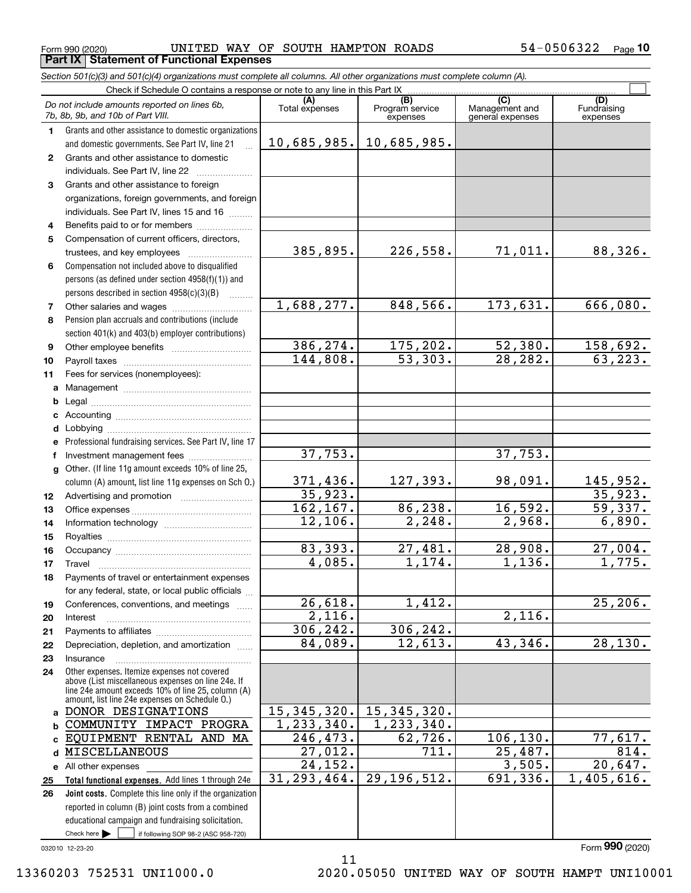$_{\rm Form}$   $_{990}$  (2020) UNITED WAY OF SOUTH HAMPTON ROADS 54-0506322  $_{\rm Page}$ **Part IX Statement of Functional Expenses**

*Section 501(c)(3) and 501(c)(4) organizations must complete all columns. All other organizations must complete column (A).*

|                  | Check if Schedule O contains a response or note to any line in this Part IX                              |                        |                                    |                                           |                                |
|------------------|----------------------------------------------------------------------------------------------------------|------------------------|------------------------------------|-------------------------------------------|--------------------------------|
|                  | Do not include amounts reported on lines 6b,<br>7b, 8b, 9b, and 10b of Part VIII.                        | (A)<br>Total expenses  | (B)<br>Program service<br>expenses | (C)<br>Management and<br>general expenses | (D)<br>Fundraising<br>expenses |
| $\mathbf{1}$     | Grants and other assistance to domestic organizations                                                    |                        |                                    |                                           |                                |
|                  | and domestic governments. See Part IV, line 21                                                           | 10,685,985.            | 10,685,985.                        |                                           |                                |
| $\mathbf{2}$     | Grants and other assistance to domestic                                                                  |                        |                                    |                                           |                                |
|                  | individuals. See Part IV, line 22                                                                        |                        |                                    |                                           |                                |
| 3                | Grants and other assistance to foreign                                                                   |                        |                                    |                                           |                                |
|                  | organizations, foreign governments, and foreign                                                          |                        |                                    |                                           |                                |
|                  | individuals. See Part IV, lines 15 and 16                                                                |                        |                                    |                                           |                                |
| 4                | Benefits paid to or for members                                                                          |                        |                                    |                                           |                                |
| 5                | Compensation of current officers, directors,                                                             |                        |                                    |                                           |                                |
|                  | trustees, and key employees                                                                              | 385,895.               | 226,558.                           | 71,011.                                   | 88,326.                        |
| 6                | Compensation not included above to disqualified                                                          |                        |                                    |                                           |                                |
|                  | persons (as defined under section 4958(f)(1)) and                                                        |                        |                                    |                                           |                                |
|                  | persons described in section 4958(c)(3)(B)                                                               |                        |                                    |                                           |                                |
| 7                |                                                                                                          | 1,688,277.             | 848,566.                           | 173,631.                                  | 666,080.                       |
| 8                | Pension plan accruals and contributions (include                                                         |                        |                                    |                                           |                                |
|                  | section 401(k) and 403(b) employer contributions)                                                        |                        |                                    |                                           |                                |
| 9                |                                                                                                          | 386,274.               | 175,202.                           | 52,380.                                   | <u>158,692.</u>                |
| 10               |                                                                                                          | 144,808.               | 53,303.                            | 28,282.                                   | 63, 223.                       |
| 11               | Fees for services (nonemployees):                                                                        |                        |                                    |                                           |                                |
|                  |                                                                                                          |                        |                                    |                                           |                                |
| b                |                                                                                                          |                        |                                    |                                           |                                |
| c                |                                                                                                          |                        |                                    |                                           |                                |
| d                |                                                                                                          |                        |                                    |                                           |                                |
| е                | Professional fundraising services. See Part IV, line 17                                                  | 37,753.                |                                    | 37,753.                                   |                                |
| f                | Investment management fees                                                                               |                        |                                    |                                           |                                |
|                  | g Other. (If line 11g amount exceeds 10% of line 25,                                                     |                        |                                    |                                           |                                |
|                  | column (A) amount, list line 11g expenses on Sch O.)                                                     | 371,436.<br>35,923.    | 127,393.                           | 98,091.                                   | 145,952.<br>35,923.            |
| 12 <sup>12</sup> |                                                                                                          | 162,167.               | 86,238.                            | 16, 592.                                  | 59,337.                        |
| 13               |                                                                                                          | 12,106.                | 2, 248.                            | 2,968.                                    | 6,890.                         |
| 14               |                                                                                                          |                        |                                    |                                           |                                |
| 15<br>16         |                                                                                                          | 83,393.                | 27,481.                            | 28,908.                                   | 27,004.                        |
| 17               | Travel                                                                                                   | 4,085.                 | 1,174.                             | 1,136.                                    | 1,775.                         |
| 18               | Payments of travel or entertainment expenses                                                             |                        |                                    |                                           |                                |
|                  | for any federal, state, or local public officials                                                        |                        |                                    |                                           |                                |
| 19               | Conferences, conventions, and meetings                                                                   | 26,618.                | 1,412.                             |                                           | 25, 206.                       |
| 20               | Interest                                                                                                 | 2,116.                 |                                    | 2,116.                                    |                                |
| 21               |                                                                                                          | 306,242.               | 306, 242.                          |                                           |                                |
| 22               | Depreciation, depletion, and amortization                                                                | 84,089.                | 12,613.                            | 43,346.                                   | 28,130.                        |
| 23               | Insurance                                                                                                |                        |                                    |                                           |                                |
| 24               | Other expenses. Itemize expenses not covered                                                             |                        |                                    |                                           |                                |
|                  | above (List miscellaneous expenses on line 24e. If<br>line 24e amount exceeds 10% of line 25, column (A) |                        |                                    |                                           |                                |
|                  | amount, list line 24e expenses on Schedule O.)                                                           |                        |                                    |                                           |                                |
| a                | DONOR DESIGNATIONS                                                                                       | 15, 345, 320.          | 15, 345, 320.                      |                                           |                                |
| b                | COMMUNITY IMPACT PROGRA                                                                                  | 1, 233, 340.           | 1, 233, 340.                       |                                           |                                |
| C                | EQUIPMENT RENTAL AND MA                                                                                  | 246,473.               | 62,726.                            | 106, 130.                                 | 77,617.                        |
| d                | <b>MISCELLANEOUS</b>                                                                                     | $\overline{27}$ , 012. | 711.                               | 25,487.                                   | 814.                           |
| е                | All other expenses                                                                                       | 24, 152.               |                                    | 3,505.                                    | 20,647.                        |
| 25               | Total functional expenses. Add lines 1 through 24e                                                       | 31, 293, 464.          | 29, 196, 512.                      | 691,336.                                  | 1,405,616.                     |
| 26               | Joint costs. Complete this line only if the organization                                                 |                        |                                    |                                           |                                |
|                  | reported in column (B) joint costs from a combined                                                       |                        |                                    |                                           |                                |
|                  | educational campaign and fundraising solicitation.<br>Check here $\blacktriangleright$                   |                        |                                    |                                           |                                |
|                  | if following SOP 98-2 (ASC 958-720)                                                                      |                        |                                    |                                           |                                |

032010 12-23-20

11

Form (2020) **990**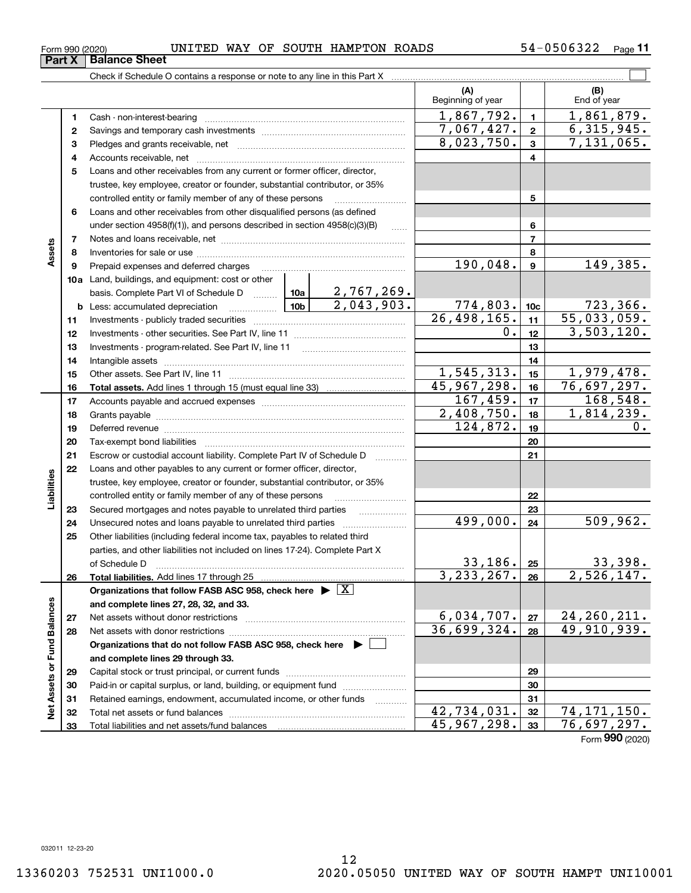ξ

**22232425262728and complete lines 29 through 33. 2930313233**Capital stock or trust principal, or current funds ~~~~~~~~~~~~~~~ Paid-in or capital surplus, or land, building, or equipment fund www.commun.com Retained earnings, endowment, accumulated income, or other funds Total net assets or fund balances ~~~~~~~~~~~~~~~~~~~~~~ Total liabilities and net assets/fund balances 42,734,031. 74,171,150. 45,967,298. 76,697,297.

12

 $_{\rm Form}$   $_{990}$  (2020) UNITED WAY OF SOUTH HAMPTON ROADS 54-0506322  $_{\rm Page}$ 

 $\mathcal{L}^{\text{max}}$ Check if Schedule O contains a response or note to any line in this Part X **(A) (B)** Beginning of year | | End of year  $1,867,792.$   $1 \mid 1,861,879.$ **11**Cash - non-interest-bearing ~~~~~~~~~~~~~~~~~~~~~~~~~  $7,067,427. | z | 6,315,945.$ **22**Savings and temporary cash investments ~~~~~~~~~~~~~~~~~~ $8,023,750.$   $3$   $7,131,065.$ **33** Pledges and grants receivable, net  $\ldots$  **multimes contained and grants receivable**, net **multimes contained and grants receivable**, net **multimes contained and grants receivable** Accounts receivable, net ~~~~~~~~~~~~~~~~~~~~~~~~~~ **445**Loans and other receivables from any current or former officer, director, trustee, key employee, creator or founder, substantial contributor, or 35% controlled entity or family member of any of these persons ............................ **5**Loans and other receivables from other disqualified persons (as defined **6**under section  $4958(f)(1)$ , and persons described in section  $4958(c)(3)(B)$ **677**Notes and loans receivable, net ~~~~~~~~~~~~~~~~~~~~~~~**Assets 88**Inventories for sale or use ~~~~~~~~~~~~~~~~~~~~~~~~~~ 190,048. | 9 | 149,385. **99**Prepaid expenses and deferred charges ~~~~~~~~~~~~~~~~~~ **10a**Land, buildings, and equipment: cost or other 2,767,269. basis. Complete Part VI of Schedule D will aller **10c**2,043,903. 774,803. 723,366. **b** Less: accumulated depreciation  $\ldots$  **10b**  $26,498,165.$  11 | 55,033,059. **1111**Investments - publicly traded securities ~~~~~~~~~~~~~~~~~~~  $0.$ | 12 | 3,503,120. **1212**Investments - other securities. See Part IV, line 11 ~~~~~~~~~~~~~~ **1313**Investments - program-related. See Part IV, line 11 ~~~~~~~~~~~~~**1414**Intangible assets ~~~~~~~~~~~~~~~~~~~~~~~~~~~~~~ Other assets. See Part IV, line 11 ~~~~~~~~~~~~~~~~~~~~~~  $1,545,313.$   $15$  1,979,478. **1515**45,967,298. 76,697,297. **1616Total assets.**  Add lines 1 through 15 (must equal line 33)  $167,459.$   $17$  | 168,548. **1717**Accounts payable and accrued expenses ~~~~~~~~~~~~~~~~~~  $2,408,750.$  18 1,814,239. **1818**Grants payable ~~~~~~~~~~~~~~~~~~~~~~~~~~~~~~~  $124,872.$  19 0. **1919**Deferred revenue ~~~~~~~~~~~~~~~~~~~~~~~~~~~~~~ **2020**Tax-exempt bond liabilities …………………………………………………………… Escrow or custodial account liability. Complete Part IV of Schedule D **212122**Loans and other payables to any current or former officer, director, **Liabilities** iabilities trustee, key employee, creator or founder, substantial contributor, or 35% controlled entity or family member of any of these persons ~~~~~~~~~**23**Secured mortgages and notes payable to unrelated third parties 499,000. 509,962. Unsecured notes and loans payable to unrelated third parties  $\ldots$ **2425**Other liabilities (including federal income tax, payables to related third parties, and other liabilities not included on lines 17-24). Complete Part X of Schedule D ~~~~~~~~~~~~~~~~~~~~~~~~~~~~~~~  $33,186$ .  $25$  33,398.  $3,233,267. |26 | 2,526,147.$ **26Total liabilities.**  Add lines 17 through 25 **Organizations that follow FASB ASC 958, check here** | X Assets or Fund Balances **Net Assets or Fund Balances and complete lines 27, 28, 32, and 33.**  $6,034,707.$   $27 \mid 24,260,211.$ **27**Net assets without donor restrictions <sub>…………………………………………………</sub>…… 36,699,324. 49,910,939. **28**Net assets with donor restrictions ~~~~~~~~~~~~~~~~~~~~~~**Organizations that do not follow FASB ASC 958, check here** |

Form (2020) **990**

# **Part X** Balance Sheet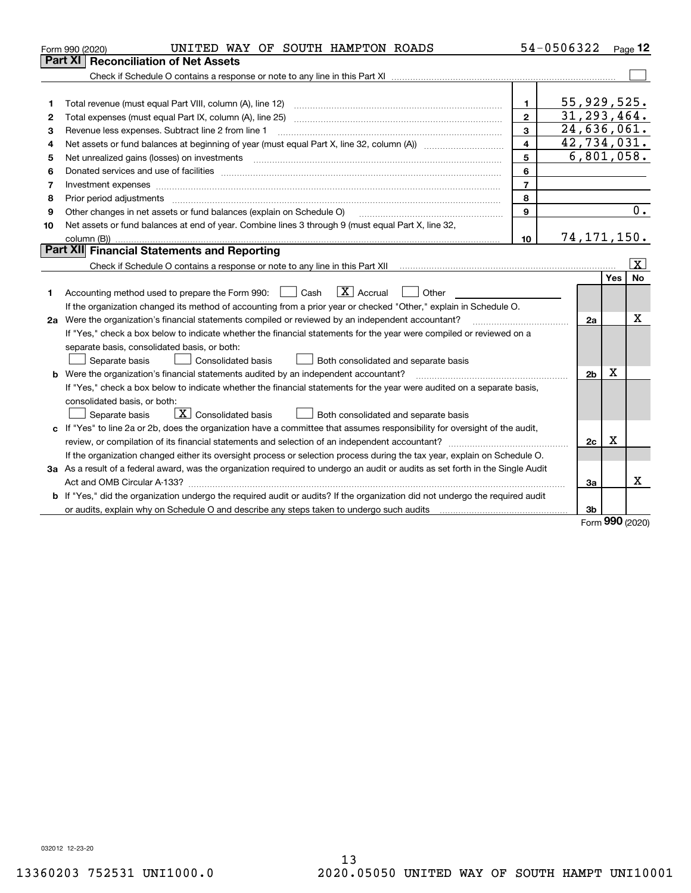|    | UNITED WAY OF SOUTH HAMPTON ROADS<br>Form 990 (2020)                                                                                                                                                                           |                         | 54-0506322                 |          | Page 12        |
|----|--------------------------------------------------------------------------------------------------------------------------------------------------------------------------------------------------------------------------------|-------------------------|----------------------------|----------|----------------|
|    | Part XII<br><b>Reconciliation of Net Assets</b>                                                                                                                                                                                |                         |                            |          |                |
|    |                                                                                                                                                                                                                                |                         |                            |          |                |
|    |                                                                                                                                                                                                                                |                         |                            |          |                |
| 1  |                                                                                                                                                                                                                                | 1.                      | 55,929,525.                |          |                |
| 2  |                                                                                                                                                                                                                                | $\mathbf{2}$            | 31, 293, 464.              |          |                |
| 3  | Revenue less expenses. Subtract line 2 from line 1                                                                                                                                                                             | 3                       | 24,636,061.                |          |                |
| 4  |                                                                                                                                                                                                                                | $\overline{\mathbf{4}}$ | $\overline{42,734}$ , 031. |          |                |
| 5  |                                                                                                                                                                                                                                | 5                       | 6,801,058.                 |          |                |
| 6  | Donated services and use of facilities [111] processes and the service of facilities [11] processes and use of facilities [11] processes and the service of facilities [11] processes and the service of the service of the se | 6                       |                            |          |                |
| 7  |                                                                                                                                                                                                                                | $\overline{7}$          |                            |          |                |
| 8  |                                                                                                                                                                                                                                | 8                       |                            |          |                |
| 9  | Other changes in net assets or fund balances (explain on Schedule O)                                                                                                                                                           | 9                       |                            |          | 0.             |
| 10 | Net assets or fund balances at end of year. Combine lines 3 through 9 (must equal Part X, line 32,                                                                                                                             |                         |                            |          |                |
|    |                                                                                                                                                                                                                                | 10                      | 74,171,150.                |          |                |
|    | Part XII Financial Statements and Reporting                                                                                                                                                                                    |                         |                            |          |                |
|    |                                                                                                                                                                                                                                |                         |                            |          | $ \mathbf{X} $ |
|    |                                                                                                                                                                                                                                |                         |                            | Yes      | No             |
| 1  | $\boxed{\mathbf{X}}$ Accrual<br>Accounting method used to prepare the Form 990: <u>June</u> Cash<br>Other<br>$\mathbf{1}$                                                                                                      |                         |                            |          |                |
|    | If the organization changed its method of accounting from a prior year or checked "Other," explain in Schedule O.                                                                                                              |                         |                            |          |                |
|    | 2a Were the organization's financial statements compiled or reviewed by an independent accountant?                                                                                                                             |                         | 2a                         |          | Χ              |
|    | If "Yes," check a box below to indicate whether the financial statements for the year were compiled or reviewed on a                                                                                                           |                         |                            |          |                |
|    | separate basis, consolidated basis, or both:                                                                                                                                                                                   |                         |                            |          |                |
|    | Both consolidated and separate basis<br>Separate basis<br>Consolidated basis                                                                                                                                                   |                         |                            |          |                |
|    | <b>b</b> Were the organization's financial statements audited by an independent accountant?                                                                                                                                    |                         | 2 <sub>b</sub>             | X        |                |
|    | If "Yes," check a box below to indicate whether the financial statements for the year were audited on a separate basis,                                                                                                        |                         |                            |          |                |
|    | consolidated basis, or both:                                                                                                                                                                                                   |                         |                            |          |                |
|    | $\sqrt{\mathbf{X}}$ Consolidated basis<br>Separate basis<br>Both consolidated and separate basis                                                                                                                               |                         |                            |          |                |
|    | c If "Yes" to line 2a or 2b, does the organization have a committee that assumes responsibility for oversight of the audit,                                                                                                    |                         |                            |          |                |
|    |                                                                                                                                                                                                                                |                         | 2c                         | X        |                |
|    | If the organization changed either its oversight process or selection process during the tax year, explain on Schedule O.                                                                                                      |                         |                            |          |                |
|    | 3a As a result of a federal award, was the organization required to undergo an audit or audits as set forth in the Single Audit                                                                                                |                         |                            |          |                |
|    |                                                                                                                                                                                                                                |                         | За                         |          | x              |
|    | b If "Yes," did the organization undergo the required audit or audits? If the organization did not undergo the required audit                                                                                                  |                         |                            |          |                |
|    |                                                                                                                                                                                                                                |                         | 3b                         | $\Omega$ |                |

Form (2020) **990**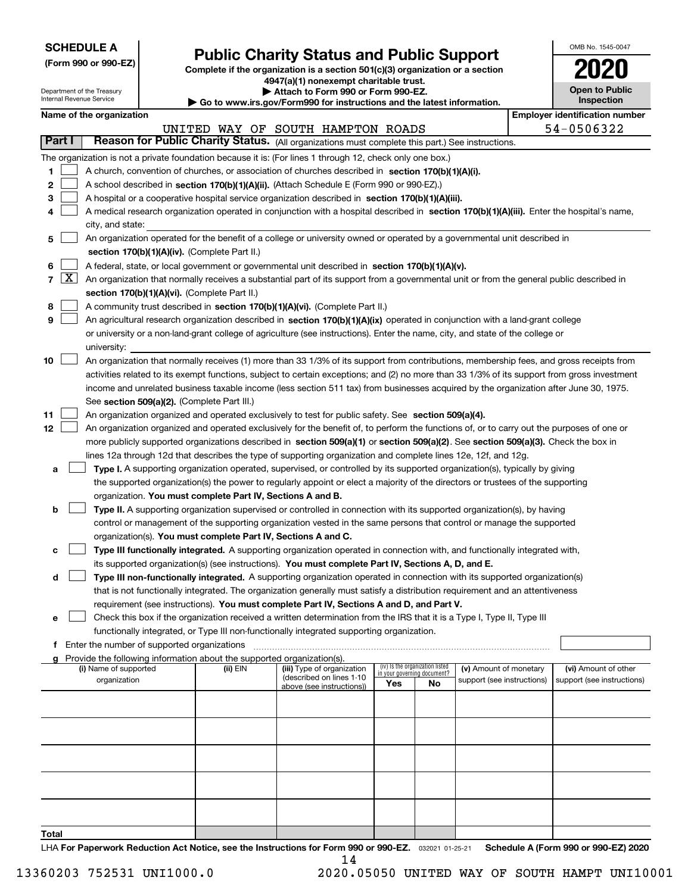| <b>SCHEDULE A</b> |
|-------------------|
|-------------------|

**(Form 990 or 990-EZ)**

## **Public Charity Status and Public Support**

**Complete if the organization is a section 501(c)(3) organization or a section 4947(a)(1) nonexempt charitable trust. | Attach to Form 990 or Form 990-EZ.** 

| OMB No. 1545-0047                   |
|-------------------------------------|
| 2020                                |
| <b>Open to Public</b><br>Inspection |

|                 |                 | Department of the Treasury<br>Internal Revenue Service |                                                                        | Attach to Form 990 or Form 990-EZ.<br>Go to www.irs.gov/Form990 for instructions and the latest information.                                                                                                                                                                                                 |     |                                                                |                            | <b>Open to Public</b><br>Inspection   |
|-----------------|-----------------|--------------------------------------------------------|------------------------------------------------------------------------|--------------------------------------------------------------------------------------------------------------------------------------------------------------------------------------------------------------------------------------------------------------------------------------------------------------|-----|----------------------------------------------------------------|----------------------------|---------------------------------------|
|                 |                 | Name of the organization                               |                                                                        |                                                                                                                                                                                                                                                                                                              |     |                                                                |                            | <b>Employer identification number</b> |
|                 |                 |                                                        |                                                                        | UNITED WAY OF SOUTH HAMPTON ROADS                                                                                                                                                                                                                                                                            |     |                                                                |                            | 54-0506322                            |
|                 | Part I          |                                                        |                                                                        | Reason for Public Charity Status. (All organizations must complete this part.) See instructions.                                                                                                                                                                                                             |     |                                                                |                            |                                       |
| 1.<br>2         |                 |                                                        |                                                                        | The organization is not a private foundation because it is: (For lines 1 through 12, check only one box.)<br>A church, convention of churches, or association of churches described in section 170(b)(1)(A)(i).<br>A school described in section 170(b)(1)(A)(ii). (Attach Schedule E (Form 990 or 990-EZ).) |     |                                                                |                            |                                       |
| з               |                 |                                                        |                                                                        | A hospital or a cooperative hospital service organization described in section 170(b)(1)(A)(iii).                                                                                                                                                                                                            |     |                                                                |                            |                                       |
| 4               |                 |                                                        |                                                                        | A medical research organization operated in conjunction with a hospital described in section 170(b)(1)(A)(iii). Enter the hospital's name,                                                                                                                                                                   |     |                                                                |                            |                                       |
|                 |                 | city, and state:                                       |                                                                        |                                                                                                                                                                                                                                                                                                              |     |                                                                |                            |                                       |
| 5               |                 |                                                        |                                                                        | An organization operated for the benefit of a college or university owned or operated by a governmental unit described in                                                                                                                                                                                    |     |                                                                |                            |                                       |
|                 |                 |                                                        | section 170(b)(1)(A)(iv). (Complete Part II.)                          |                                                                                                                                                                                                                                                                                                              |     |                                                                |                            |                                       |
| 6               |                 |                                                        |                                                                        | A federal, state, or local government or governmental unit described in section 170(b)(1)(A)(v).                                                                                                                                                                                                             |     |                                                                |                            |                                       |
|                 | $7 \mid X \mid$ |                                                        |                                                                        | An organization that normally receives a substantial part of its support from a governmental unit or from the general public described in                                                                                                                                                                    |     |                                                                |                            |                                       |
|                 |                 |                                                        | section 170(b)(1)(A)(vi). (Complete Part II.)                          |                                                                                                                                                                                                                                                                                                              |     |                                                                |                            |                                       |
| 8               |                 |                                                        |                                                                        | A community trust described in section 170(b)(1)(A)(vi). (Complete Part II.)                                                                                                                                                                                                                                 |     |                                                                |                            |                                       |
| 9               |                 |                                                        |                                                                        | An agricultural research organization described in section 170(b)(1)(A)(ix) operated in conjunction with a land-grant college                                                                                                                                                                                |     |                                                                |                            |                                       |
|                 |                 |                                                        |                                                                        | or university or a non-land-grant college of agriculture (see instructions). Enter the name, city, and state of the college or                                                                                                                                                                               |     |                                                                |                            |                                       |
|                 |                 | university:                                            |                                                                        |                                                                                                                                                                                                                                                                                                              |     |                                                                |                            |                                       |
| 10              |                 |                                                        |                                                                        | An organization that normally receives (1) more than 33 1/3% of its support from contributions, membership fees, and gross receipts from                                                                                                                                                                     |     |                                                                |                            |                                       |
|                 |                 |                                                        |                                                                        | activities related to its exempt functions, subject to certain exceptions; and (2) no more than 33 1/3% of its support from gross investment                                                                                                                                                                 |     |                                                                |                            |                                       |
|                 |                 |                                                        |                                                                        | income and unrelated business taxable income (less section 511 tax) from businesses acquired by the organization after June 30, 1975.                                                                                                                                                                        |     |                                                                |                            |                                       |
| 11              |                 |                                                        | See section 509(a)(2). (Complete Part III.)                            | An organization organized and operated exclusively to test for public safety. See section 509(a)(4).                                                                                                                                                                                                         |     |                                                                |                            |                                       |
| 12 <sub>2</sub> |                 |                                                        |                                                                        | An organization organized and operated exclusively for the benefit of, to perform the functions of, or to carry out the purposes of one or                                                                                                                                                                   |     |                                                                |                            |                                       |
|                 |                 |                                                        |                                                                        | more publicly supported organizations described in section 509(a)(1) or section 509(a)(2). See section 509(a)(3). Check the box in                                                                                                                                                                           |     |                                                                |                            |                                       |
|                 |                 |                                                        |                                                                        | lines 12a through 12d that describes the type of supporting organization and complete lines 12e, 12f, and 12g.                                                                                                                                                                                               |     |                                                                |                            |                                       |
| а               |                 |                                                        |                                                                        | Type I. A supporting organization operated, supervised, or controlled by its supported organization(s), typically by giving                                                                                                                                                                                  |     |                                                                |                            |                                       |
|                 |                 |                                                        |                                                                        | the supported organization(s) the power to regularly appoint or elect a majority of the directors or trustees of the supporting                                                                                                                                                                              |     |                                                                |                            |                                       |
|                 |                 |                                                        | organization. You must complete Part IV, Sections A and B.             |                                                                                                                                                                                                                                                                                                              |     |                                                                |                            |                                       |
| b               |                 |                                                        |                                                                        | Type II. A supporting organization supervised or controlled in connection with its supported organization(s), by having                                                                                                                                                                                      |     |                                                                |                            |                                       |
|                 |                 |                                                        |                                                                        | control or management of the supporting organization vested in the same persons that control or manage the supported                                                                                                                                                                                         |     |                                                                |                            |                                       |
|                 |                 |                                                        |                                                                        | organization(s). You must complete Part IV, Sections A and C.                                                                                                                                                                                                                                                |     |                                                                |                            |                                       |
| c               |                 |                                                        |                                                                        | Type III functionally integrated. A supporting organization operated in connection with, and functionally integrated with,                                                                                                                                                                                   |     |                                                                |                            |                                       |
|                 |                 |                                                        |                                                                        | its supported organization(s) (see instructions). You must complete Part IV, Sections A, D, and E.                                                                                                                                                                                                           |     |                                                                |                            |                                       |
|                 | d               |                                                        |                                                                        | Type III non-functionally integrated. A supporting organization operated in connection with its supported organization(s)                                                                                                                                                                                    |     |                                                                |                            |                                       |
|                 |                 |                                                        |                                                                        | that is not functionally integrated. The organization generally must satisfy a distribution requirement and an attentiveness                                                                                                                                                                                 |     |                                                                |                            |                                       |
|                 |                 |                                                        |                                                                        | requirement (see instructions). You must complete Part IV, Sections A and D, and Part V.                                                                                                                                                                                                                     |     |                                                                |                            |                                       |
| е               |                 |                                                        |                                                                        | Check this box if the organization received a written determination from the IRS that it is a Type I, Type II, Type III                                                                                                                                                                                      |     |                                                                |                            |                                       |
|                 |                 |                                                        |                                                                        | functionally integrated, or Type III non-functionally integrated supporting organization.                                                                                                                                                                                                                    |     |                                                                |                            |                                       |
|                 |                 | <b>f</b> Enter the number of supported organizations   |                                                                        |                                                                                                                                                                                                                                                                                                              |     |                                                                |                            |                                       |
|                 |                 |                                                        | Provide the following information about the supported organization(s). |                                                                                                                                                                                                                                                                                                              |     |                                                                |                            |                                       |
|                 |                 | (i) Name of supported                                  | (ii) EIN                                                               | (iii) Type of organization<br>(described on lines 1-10                                                                                                                                                                                                                                                       |     | (iv) Is the organization listed<br>in your governing document? | (v) Amount of monetary     | (vi) Amount of other                  |
|                 |                 | organization                                           |                                                                        | above (see instructions))                                                                                                                                                                                                                                                                                    | Yes | No                                                             | support (see instructions) | support (see instructions)            |
|                 |                 |                                                        |                                                                        |                                                                                                                                                                                                                                                                                                              |     |                                                                |                            |                                       |
|                 |                 |                                                        |                                                                        |                                                                                                                                                                                                                                                                                                              |     |                                                                |                            |                                       |
|                 |                 |                                                        |                                                                        |                                                                                                                                                                                                                                                                                                              |     |                                                                |                            |                                       |
|                 |                 |                                                        |                                                                        |                                                                                                                                                                                                                                                                                                              |     |                                                                |                            |                                       |
|                 |                 |                                                        |                                                                        |                                                                                                                                                                                                                                                                                                              |     |                                                                |                            |                                       |
|                 |                 |                                                        |                                                                        |                                                                                                                                                                                                                                                                                                              |     |                                                                |                            |                                       |
|                 |                 |                                                        |                                                                        |                                                                                                                                                                                                                                                                                                              |     |                                                                |                            |                                       |
|                 |                 |                                                        |                                                                        |                                                                                                                                                                                                                                                                                                              |     |                                                                |                            |                                       |
|                 |                 |                                                        |                                                                        |                                                                                                                                                                                                                                                                                                              |     |                                                                |                            |                                       |

**Total**

LHA For Paperwork Reduction Act Notice, see the Instructions for Form 990 or 990-EZ. <sub>032021</sub> o1-25-21 Schedule A (Form 990 or 990-EZ) 2020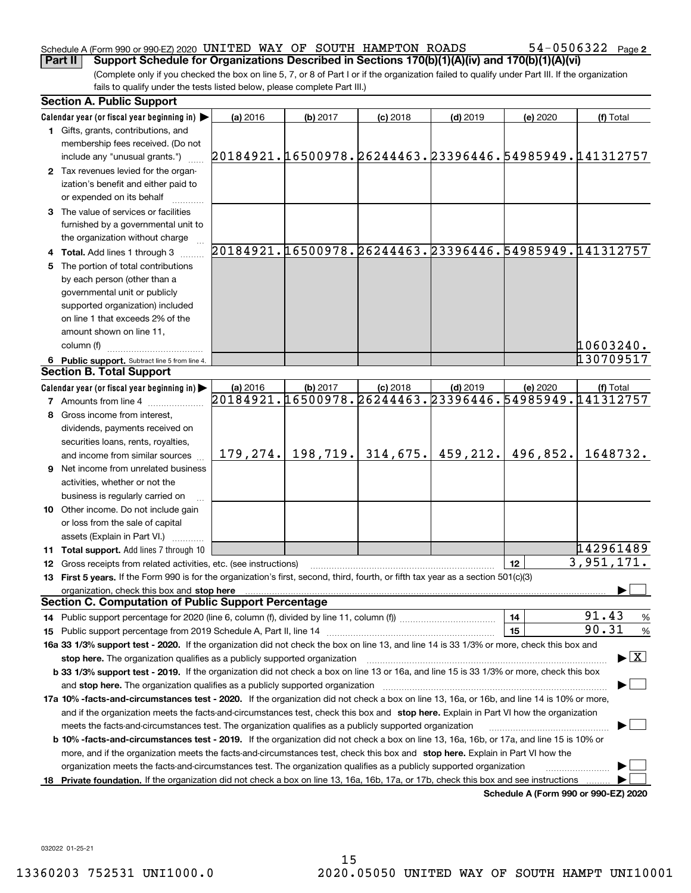#### Schedule A (Form 990 or 990-EZ) 2020 <code>UNITED WAY OF SOUTH HAMPTON ROADS</code>  $54-0506322$  <code>Page</code> **Part II** Support Schedule for Organizations Described in Sections 170(b)(1)(A)(iv) and 170(b)(1)(A)(vi)

(Complete only if you checked the box on line 5, 7, or 8 of Part I or if the organization failed to qualify under Part III. If the organization fails to qualify under the tests listed below, please complete Part III.)

|    | <b>Section A. Public Support</b>                                                                                                                                                                                               |          |                       |            |            |          |                                                        |
|----|--------------------------------------------------------------------------------------------------------------------------------------------------------------------------------------------------------------------------------|----------|-----------------------|------------|------------|----------|--------------------------------------------------------|
|    | Calendar year (or fiscal year beginning in) $\blacktriangleright$                                                                                                                                                              | (a) 2016 | (b) 2017              | $(c)$ 2018 | $(d)$ 2019 | (e) 2020 | (f) Total                                              |
|    | 1 Gifts, grants, contributions, and                                                                                                                                                                                            |          |                       |            |            |          |                                                        |
|    | membership fees received. (Do not                                                                                                                                                                                              |          |                       |            |            |          |                                                        |
|    | include any "unusual grants.")                                                                                                                                                                                                 |          |                       |            |            |          | 20184921.16500978.26244463.23396446.54985949.141312757 |
|    | 2 Tax revenues levied for the organ-                                                                                                                                                                                           |          |                       |            |            |          |                                                        |
|    | ization's benefit and either paid to                                                                                                                                                                                           |          |                       |            |            |          |                                                        |
|    | or expended on its behalf                                                                                                                                                                                                      |          |                       |            |            |          |                                                        |
|    | 3 The value of services or facilities                                                                                                                                                                                          |          |                       |            |            |          |                                                        |
|    | furnished by a governmental unit to                                                                                                                                                                                            |          |                       |            |            |          |                                                        |
|    | the organization without charge                                                                                                                                                                                                |          |                       |            |            |          |                                                        |
|    | 4 Total. Add lines 1 through 3                                                                                                                                                                                                 |          |                       |            |            |          | 20184921.16500978.26244463.23396446.54985949.141312757 |
| 5. | The portion of total contributions                                                                                                                                                                                             |          |                       |            |            |          |                                                        |
|    | by each person (other than a                                                                                                                                                                                                   |          |                       |            |            |          |                                                        |
|    | governmental unit or publicly                                                                                                                                                                                                  |          |                       |            |            |          |                                                        |
|    | supported organization) included                                                                                                                                                                                               |          |                       |            |            |          |                                                        |
|    | on line 1 that exceeds 2% of the                                                                                                                                                                                               |          |                       |            |            |          |                                                        |
|    | amount shown on line 11,                                                                                                                                                                                                       |          |                       |            |            |          |                                                        |
|    | column (f)                                                                                                                                                                                                                     |          |                       |            |            |          | 10603240.                                              |
|    | 6 Public support. Subtract line 5 from line 4.                                                                                                                                                                                 |          |                       |            |            |          | 130709517                                              |
|    | <b>Section B. Total Support</b>                                                                                                                                                                                                |          |                       |            |            |          |                                                        |
|    | Calendar year (or fiscal year beginning in)                                                                                                                                                                                    | (a) 2016 | (b) 2017              | $(c)$ 2018 | $(d)$ 2019 | (e) 2020 | (f) Total                                              |
|    | <b>7</b> Amounts from line 4                                                                                                                                                                                                   |          |                       |            |            |          | 20184921.16500978.26244463.23396446.54985949.141312757 |
| 8  | Gross income from interest,                                                                                                                                                                                                    |          |                       |            |            |          |                                                        |
|    | dividends, payments received on                                                                                                                                                                                                |          |                       |            |            |          |                                                        |
|    | securities loans, rents, royalties,                                                                                                                                                                                            |          |                       |            |            |          |                                                        |
|    | and income from similar sources                                                                                                                                                                                                |          | $179, 274.$ 198, 719. | 314,675.   | 459,212.   | 496,852. | 1648732.                                               |
|    | <b>9</b> Net income from unrelated business                                                                                                                                                                                    |          |                       |            |            |          |                                                        |
|    | activities, whether or not the                                                                                                                                                                                                 |          |                       |            |            |          |                                                        |
|    | business is regularly carried on                                                                                                                                                                                               |          |                       |            |            |          |                                                        |
|    | 10 Other income. Do not include gain                                                                                                                                                                                           |          |                       |            |            |          |                                                        |
|    | or loss from the sale of capital                                                                                                                                                                                               |          |                       |            |            |          |                                                        |
|    | assets (Explain in Part VI.)                                                                                                                                                                                                   |          |                       |            |            |          |                                                        |
|    | 11 Total support. Add lines 7 through 10                                                                                                                                                                                       |          |                       |            |            |          | 142961489                                              |
|    | 12 Gross receipts from related activities, etc. (see instructions)                                                                                                                                                             |          |                       |            |            | 12       | 3,951,171.                                             |
|    | 13 First 5 years. If the Form 990 is for the organization's first, second, third, fourth, or fifth tax year as a section 501(c)(3)                                                                                             |          |                       |            |            |          |                                                        |
|    | organization, check this box and stop here manufactured and stop here are all the contractions of the state of the state of the contraction of the contract of the contract of the contract of the contract of the contract of |          |                       |            |            |          |                                                        |
|    | <b>Section C. Computation of Public Support Percentage</b>                                                                                                                                                                     |          |                       |            |            |          |                                                        |
|    |                                                                                                                                                                                                                                |          |                       |            |            | 14       | 91.43<br>$\frac{9}{6}$                                 |
|    |                                                                                                                                                                                                                                |          |                       |            |            | 15       | 90.31<br>%                                             |
|    | 16a 33 1/3% support test - 2020. If the organization did not check the box on line 13, and line 14 is 33 1/3% or more, check this box and                                                                                      |          |                       |            |            |          |                                                        |
|    | stop here. The organization qualifies as a publicly supported organization                                                                                                                                                     |          |                       |            |            |          | $\blacktriangleright$ $\boxed{\text{X}}$               |
|    | b 33 1/3% support test - 2019. If the organization did not check a box on line 13 or 16a, and line 15 is 33 1/3% or more, check this box                                                                                       |          |                       |            |            |          |                                                        |
|    | and stop here. The organization qualifies as a publicly supported organization                                                                                                                                                 |          |                       |            |            |          |                                                        |
|    | 17a 10% -facts-and-circumstances test - 2020. If the organization did not check a box on line 13, 16a, or 16b, and line 14 is 10% or more,                                                                                     |          |                       |            |            |          |                                                        |
|    | and if the organization meets the facts-and-circumstances test, check this box and stop here. Explain in Part VI how the organization                                                                                          |          |                       |            |            |          |                                                        |
|    | meets the facts-and-circumstances test. The organization qualifies as a publicly supported organization                                                                                                                        |          |                       |            |            |          |                                                        |
|    | <b>b 10% -facts-and-circumstances test - 2019.</b> If the organization did not check a box on line 13, 16a, 16b, or 17a, and line 15 is 10% or                                                                                 |          |                       |            |            |          |                                                        |
|    | more, and if the organization meets the facts-and-circumstances test, check this box and stop here. Explain in Part VI how the                                                                                                 |          |                       |            |            |          |                                                        |
|    | organization meets the facts-and-circumstances test. The organization qualifies as a publicly supported organization                                                                                                           |          |                       |            |            |          |                                                        |
| 18 | Private foundation. If the organization did not check a box on line 13, 16a, 16b, 17a, or 17b, check this box and see instructions                                                                                             |          |                       |            |            |          |                                                        |
|    |                                                                                                                                                                                                                                |          |                       |            |            |          | Schedule A (Form 990 or 990-F7) 2020                   |

**Schedule A (Form 990 or 990-EZ) 2020**

032022 01-25-21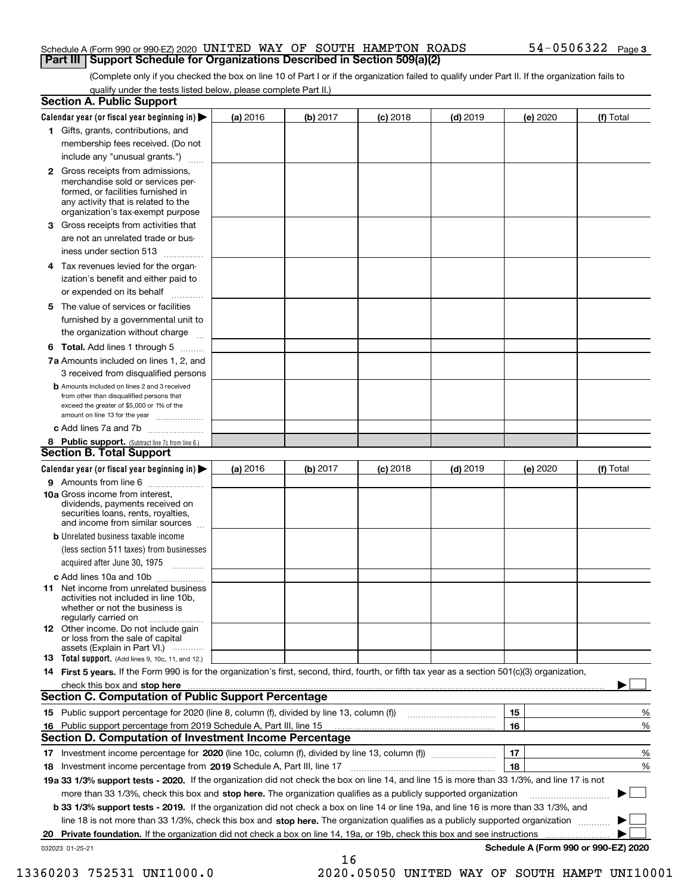#### Schedule A (Form 990 or 990-EZ) 2020 <code>UNITED WAY OF SOUTH HAMPTON ROADS</code>  $54-0506322$  <code>Page</code> **Part III Support Schedule for Organizations Described in Section 509(a)(2)**

(Complete only if you checked the box on line 10 of Part I or if the organization failed to qualify under Part II. If the organization fails to qualify under the tests listed below, please complete Part II.)

|    | <b>Section A. Public Support</b>                                                                                                                                                                                                    |          |          |            |            |          |                                      |
|----|-------------------------------------------------------------------------------------------------------------------------------------------------------------------------------------------------------------------------------------|----------|----------|------------|------------|----------|--------------------------------------|
|    | Calendar year (or fiscal year beginning in) $\blacktriangleright$                                                                                                                                                                   | (a) 2016 | (b) 2017 | $(c)$ 2018 | $(d)$ 2019 | (e) 2020 | (f) Total                            |
|    | 1 Gifts, grants, contributions, and                                                                                                                                                                                                 |          |          |            |            |          |                                      |
|    | membership fees received. (Do not                                                                                                                                                                                                   |          |          |            |            |          |                                      |
|    | include any "unusual grants.")                                                                                                                                                                                                      |          |          |            |            |          |                                      |
|    | <b>2</b> Gross receipts from admissions,<br>merchandise sold or services per-<br>formed, or facilities furnished in<br>any activity that is related to the<br>organization's tax-exempt purpose                                     |          |          |            |            |          |                                      |
|    | 3 Gross receipts from activities that<br>are not an unrelated trade or bus-                                                                                                                                                         |          |          |            |            |          |                                      |
|    | iness under section 513                                                                                                                                                                                                             |          |          |            |            |          |                                      |
|    | 4 Tax revenues levied for the organ-<br>ization's benefit and either paid to                                                                                                                                                        |          |          |            |            |          |                                      |
|    | or expended on its behalf                                                                                                                                                                                                           |          |          |            |            |          |                                      |
|    | 5 The value of services or facilities<br>furnished by a governmental unit to                                                                                                                                                        |          |          |            |            |          |                                      |
|    | the organization without charge                                                                                                                                                                                                     |          |          |            |            |          |                                      |
|    | <b>6 Total.</b> Add lines 1 through 5                                                                                                                                                                                               |          |          |            |            |          |                                      |
|    | 7a Amounts included on lines 1, 2, and<br>3 received from disqualified persons                                                                                                                                                      |          |          |            |            |          |                                      |
|    | <b>b</b> Amounts included on lines 2 and 3 received<br>from other than disqualified persons that<br>exceed the greater of \$5,000 or 1% of the<br>amount on line 13 for the year                                                    |          |          |            |            |          |                                      |
|    | c Add lines 7a and 7b                                                                                                                                                                                                               |          |          |            |            |          |                                      |
|    | 8 Public support. (Subtract line 7c from line 6.)<br><b>Section B. Total Support</b>                                                                                                                                                |          |          |            |            |          |                                      |
|    | Calendar year (or fiscal year beginning in)                                                                                                                                                                                         | (a) 2016 | (b) 2017 | $(c)$ 2018 | $(d)$ 2019 | (e) 2020 | (f) Total                            |
|    | 9 Amounts from line 6                                                                                                                                                                                                               |          |          |            |            |          |                                      |
|    | <b>10a</b> Gross income from interest,<br>dividends, payments received on<br>securities loans, rents, royalties,<br>and income from similar sources                                                                                 |          |          |            |            |          |                                      |
|    | <b>b</b> Unrelated business taxable income<br>(less section 511 taxes) from businesses                                                                                                                                              |          |          |            |            |          |                                      |
|    | acquired after June 30, 1975                                                                                                                                                                                                        |          |          |            |            |          |                                      |
|    | c Add lines 10a and 10b<br>11 Net income from unrelated business<br>activities not included in line 10b,<br>whether or not the business is<br>regularly carried on                                                                  |          |          |            |            |          |                                      |
|    | <b>12</b> Other income. Do not include gain<br>or loss from the sale of capital<br>assets (Explain in Part VI.)                                                                                                                     |          |          |            |            |          |                                      |
|    | 13 Total support. (Add lines 9, 10c, 11, and 12.)                                                                                                                                                                                   |          |          |            |            |          |                                      |
|    | 14 First 5 years. If the Form 990 is for the organization's first, second, third, fourth, or fifth tax year as a section 501(c)(3) organization,                                                                                    |          |          |            |            |          |                                      |
|    | check this box and <b>stop here</b> with the continuum continuum continuum continuum continuum continuum continuum continuum continuum continuum continuum continuum continuum continuum continuum continuum continuum continuum co |          |          |            |            |          |                                      |
|    | <b>Section C. Computation of Public Support Percentage</b>                                                                                                                                                                          |          |          |            |            |          |                                      |
|    |                                                                                                                                                                                                                                     |          |          |            |            | 15       | %                                    |
| 16 | Public support percentage from 2019 Schedule A, Part III, line 15                                                                                                                                                                   |          |          |            |            | 16       | %                                    |
|    | Section D. Computation of Investment Income Percentage                                                                                                                                                                              |          |          |            |            |          |                                      |
|    | 17 Investment income percentage for 2020 (line 10c, column (f), divided by line 13, column (f))<br>18 Investment income percentage from 2019 Schedule A, Part III, line 17                                                          |          |          |            |            | 17<br>18 | %<br>%                               |
|    | 19a 33 1/3% support tests - 2020. If the organization did not check the box on line 14, and line 15 is more than 33 1/3%, and line 17 is not                                                                                        |          |          |            |            |          |                                      |
|    | more than 33 1/3%, check this box and stop here. The organization qualifies as a publicly supported organization                                                                                                                    |          |          |            |            |          |                                      |
|    | b 33 1/3% support tests - 2019. If the organization did not check a box on line 14 or line 19a, and line 16 is more than 33 1/3%, and                                                                                               |          |          |            |            |          |                                      |
|    | line 18 is not more than 33 1/3%, check this box and stop here. The organization qualifies as a publicly supported organization                                                                                                     |          |          |            |            |          |                                      |
| 20 | <b>Private foundation.</b> If the organization did not check a box on line 14, 19a, or 19b, check this box and see instructions                                                                                                     |          |          |            |            |          | .                                    |
|    | 032023 01-25-21                                                                                                                                                                                                                     |          |          |            |            |          | Schedule A (Form 990 or 990-EZ) 2020 |
|    |                                                                                                                                                                                                                                     |          | 16       |            |            |          |                                      |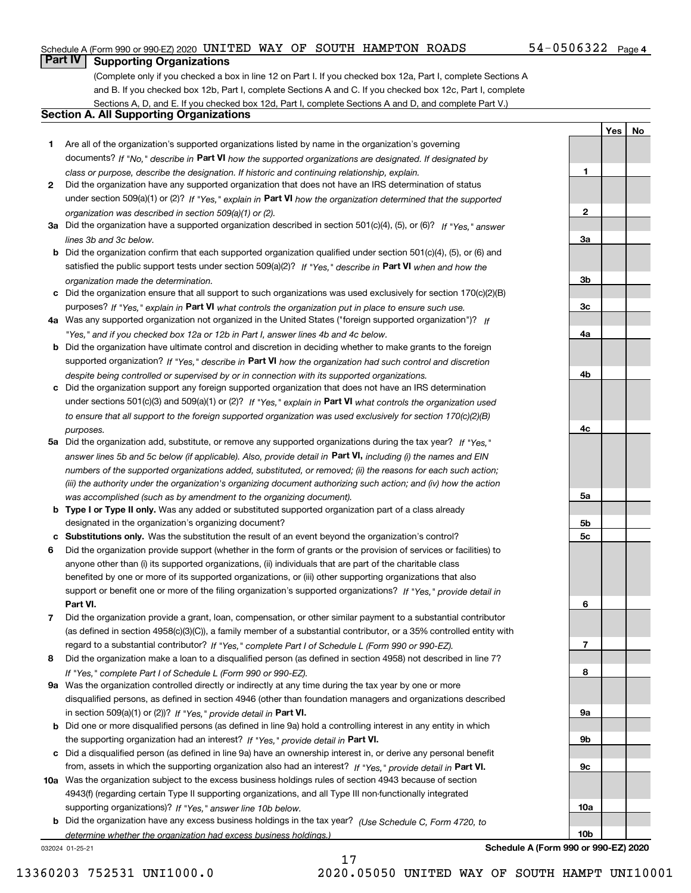### Schedule A (Form 990 or 990-EZ) 2020 <code>UNITED WAY OF SOUTH HAMPTON ROADS</code>  $54-0506322$  <code>Page</code>

## **Part IV Supporting Organizations**

(Complete only if you checked a box in line 12 on Part I. If you checked box 12a, Part I, complete Sections A and B. If you checked box 12b, Part I, complete Sections A and C. If you checked box 12c, Part I, complete Sections A, D, and E. If you checked box 12d, Part I, complete Sections A and D, and complete Part V.)

### **Section A. All Supporting Organizations**

- **1** Are all of the organization's supported organizations listed by name in the organization's governing documents? If "No," describe in **Part VI** how the supported organizations are designated. If designated by *class or purpose, describe the designation. If historic and continuing relationship, explain.*
- **2** Did the organization have any supported organization that does not have an IRS determination of status under section 509(a)(1) or (2)? If "Yes," explain in Part VI how the organization determined that the supported *organization was described in section 509(a)(1) or (2).*
- **3a** Did the organization have a supported organization described in section 501(c)(4), (5), or (6)? If "Yes," answer *lines 3b and 3c below.*
- **b** Did the organization confirm that each supported organization qualified under section 501(c)(4), (5), or (6) and satisfied the public support tests under section 509(a)(2)? If "Yes," describe in **Part VI** when and how the *organization made the determination.*
- **c**Did the organization ensure that all support to such organizations was used exclusively for section 170(c)(2)(B) purposes? If "Yes," explain in **Part VI** what controls the organization put in place to ensure such use.
- **4a***If* Was any supported organization not organized in the United States ("foreign supported organization")? *"Yes," and if you checked box 12a or 12b in Part I, answer lines 4b and 4c below.*
- **b** Did the organization have ultimate control and discretion in deciding whether to make grants to the foreign supported organization? If "Yes," describe in **Part VI** how the organization had such control and discretion *despite being controlled or supervised by or in connection with its supported organizations.*
- **c** Did the organization support any foreign supported organization that does not have an IRS determination under sections 501(c)(3) and 509(a)(1) or (2)? If "Yes," explain in **Part VI** what controls the organization used *to ensure that all support to the foreign supported organization was used exclusively for section 170(c)(2)(B) purposes.*
- **5a** Did the organization add, substitute, or remove any supported organizations during the tax year? If "Yes," answer lines 5b and 5c below (if applicable). Also, provide detail in **Part VI,** including (i) the names and EIN *numbers of the supported organizations added, substituted, or removed; (ii) the reasons for each such action; (iii) the authority under the organization's organizing document authorizing such action; and (iv) how the action was accomplished (such as by amendment to the organizing document).*
- **b** Type I or Type II only. Was any added or substituted supported organization part of a class already designated in the organization's organizing document?
- **cSubstitutions only.**  Was the substitution the result of an event beyond the organization's control?
- **6** Did the organization provide support (whether in the form of grants or the provision of services or facilities) to **Part VI.** *If "Yes," provide detail in* support or benefit one or more of the filing organization's supported organizations? anyone other than (i) its supported organizations, (ii) individuals that are part of the charitable class benefited by one or more of its supported organizations, or (iii) other supporting organizations that also
- **7**Did the organization provide a grant, loan, compensation, or other similar payment to a substantial contributor *If "Yes," complete Part I of Schedule L (Form 990 or 990-EZ).* regard to a substantial contributor? (as defined in section 4958(c)(3)(C)), a family member of a substantial contributor, or a 35% controlled entity with
- **8** Did the organization make a loan to a disqualified person (as defined in section 4958) not described in line 7? *If "Yes," complete Part I of Schedule L (Form 990 or 990-EZ).*
- **9a** Was the organization controlled directly or indirectly at any time during the tax year by one or more in section 509(a)(1) or (2))? If "Yes," *provide detail in* <code>Part VI.</code> disqualified persons, as defined in section 4946 (other than foundation managers and organizations described
- **b** Did one or more disqualified persons (as defined in line 9a) hold a controlling interest in any entity in which the supporting organization had an interest? If "Yes," provide detail in P**art VI**.
- **c**Did a disqualified person (as defined in line 9a) have an ownership interest in, or derive any personal benefit from, assets in which the supporting organization also had an interest? If "Yes," provide detail in P**art VI.**
- **10a** Was the organization subject to the excess business holdings rules of section 4943 because of section supporting organizations)? If "Yes," answer line 10b below. 4943(f) (regarding certain Type II supporting organizations, and all Type III non-functionally integrated
- **b** Did the organization have any excess business holdings in the tax year? (Use Schedule C, Form 4720, to *determine whether the organization had excess business holdings.)*

032024 01-25-21

**Schedule A (Form 990 or 990-EZ) 2020**

17 13360203 752531 UNI1000.0 2020.05050 UNITED WAY OF SOUTH HAMPT UNI10001

**1**

**2**

**3a**

**3b**

**3c**

**4a**

**4b**

**4c**

**5a**

**5b5c**

**6**

**7**

**8**

**9a**

**9b**

**9c**

**10a**

**10b**

**YesNo**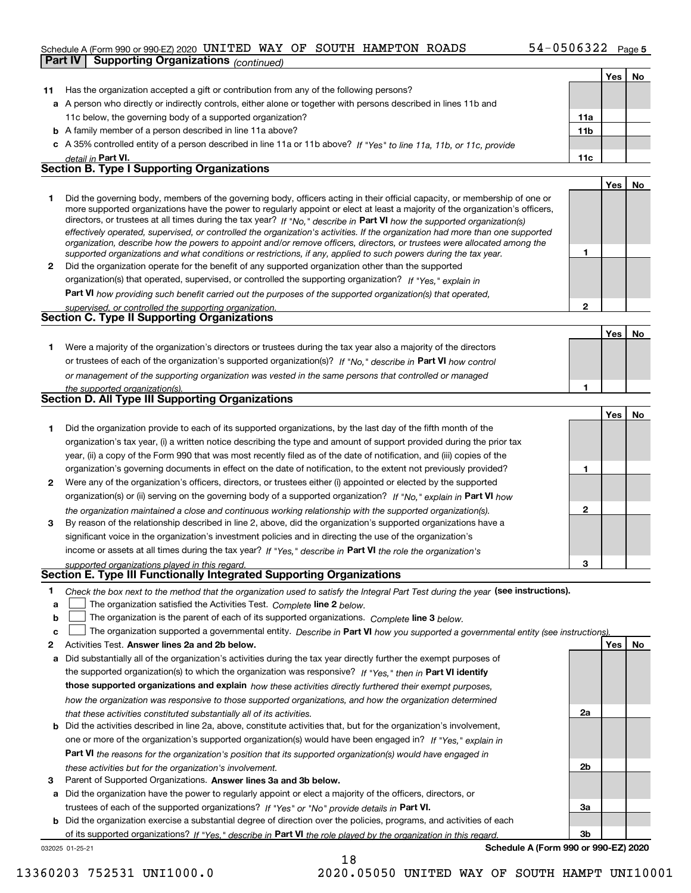### Schedule A (Form 990 or 990-EZ) 2020 <code>UNITED WAY OF SOUTH HAMPTON ROADS</code>  $54-0506322$  <code>Page</code> **Part IV Supporting Organizations** *(continued)*

|    |                                                                                                                                                                                                                                              |              | Yes   No |    |
|----|----------------------------------------------------------------------------------------------------------------------------------------------------------------------------------------------------------------------------------------------|--------------|----------|----|
| 11 | Has the organization accepted a gift or contribution from any of the following persons?                                                                                                                                                      |              |          |    |
|    | a A person who directly or indirectly controls, either alone or together with persons described in lines 11b and                                                                                                                             |              |          |    |
|    | 11c below, the governing body of a supported organization?                                                                                                                                                                                   | 11a          |          |    |
|    | <b>b</b> A family member of a person described in line 11a above?                                                                                                                                                                            | 11b          |          |    |
|    | c A 35% controlled entity of a person described in line 11a or 11b above? If "Yes" to line 11a, 11b, or 11c, provide                                                                                                                         |              |          |    |
|    | detail in Part VI.                                                                                                                                                                                                                           | 11c          |          |    |
|    | <b>Section B. Type I Supporting Organizations</b>                                                                                                                                                                                            |              |          |    |
|    |                                                                                                                                                                                                                                              |              | Yes      | No |
| 1. | Did the governing body, members of the governing body, officers acting in their official capacity, or membership of one or                                                                                                                   |              |          |    |
|    | more supported organizations have the power to regularly appoint or elect at least a majority of the organization's officers,                                                                                                                |              |          |    |
|    | directors, or trustees at all times during the tax year? If "No," describe in Part VI how the supported organization(s)                                                                                                                      |              |          |    |
|    | effectively operated, supervised, or controlled the organization's activities. If the organization had more than one supported                                                                                                               |              |          |    |
|    | organization, describe how the powers to appoint and/or remove officers, directors, or trustees were allocated among the<br>supported organizations and what conditions or restrictions, if any, applied to such powers during the tax year. | 1            |          |    |
| 2  | Did the organization operate for the benefit of any supported organization other than the supported                                                                                                                                          |              |          |    |
|    | organization(s) that operated, supervised, or controlled the supporting organization? If "Yes," explain in                                                                                                                                   |              |          |    |
|    | Part VI how providing such benefit carried out the purposes of the supported organization(s) that operated,                                                                                                                                  |              |          |    |
|    | supervised, or controlled the supporting organization.                                                                                                                                                                                       | $\mathbf{2}$ |          |    |
|    | <b>Section C. Type II Supporting Organizations</b>                                                                                                                                                                                           |              |          |    |
|    |                                                                                                                                                                                                                                              |              | Yes      | No |
| 1. | Were a majority of the organization's directors or trustees during the tax year also a majority of the directors                                                                                                                             |              |          |    |
|    | or trustees of each of the organization's supported organization(s)? If "No," describe in Part VI how control                                                                                                                                |              |          |    |
|    | or management of the supporting organization was vested in the same persons that controlled or managed                                                                                                                                       |              |          |    |
|    | the supported organization(s).                                                                                                                                                                                                               | 1            |          |    |
|    | <b>Section D. All Type III Supporting Organizations</b>                                                                                                                                                                                      |              |          |    |
|    |                                                                                                                                                                                                                                              |              | Yes      | No |
| 1  | Did the organization provide to each of its supported organizations, by the last day of the fifth month of the                                                                                                                               |              |          |    |
|    | organization's tax year, (i) a written notice describing the type and amount of support provided during the prior tax                                                                                                                        |              |          |    |
|    | year, (ii) a copy of the Form 990 that was most recently filed as of the date of notification, and (iii) copies of the                                                                                                                       |              |          |    |
|    | organization's governing documents in effect on the date of notification, to the extent not previously provided?                                                                                                                             | 1            |          |    |
| 2  | Were any of the organization's officers, directors, or trustees either (i) appointed or elected by the supported                                                                                                                             |              |          |    |
|    | organization(s) or (ii) serving on the governing body of a supported organization? If "No," explain in Part VI how                                                                                                                           |              |          |    |
|    | the organization maintained a close and continuous working relationship with the supported organization(s).                                                                                                                                  | $\mathbf{2}$ |          |    |
| 3  | By reason of the relationship described in line 2, above, did the organization's supported organizations have a                                                                                                                              |              |          |    |
|    | significant voice in the organization's investment policies and in directing the use of the organization's                                                                                                                                   |              |          |    |
|    | income or assets at all times during the tax year? If "Yes," describe in Part VI the role the organization's                                                                                                                                 |              |          |    |
|    | supported organizations played in this regard.                                                                                                                                                                                               | 3            |          |    |
|    | <b>Section E. Type III Functionally Integrated Supporting Organizations</b>                                                                                                                                                                  |              |          |    |
| 1  | Check the box next to the method that the organization used to satisfy the Integral Part Test during the year (see instructions).                                                                                                            |              |          |    |
| a  | The organization satisfied the Activities Test. Complete line 2 below.                                                                                                                                                                       |              |          |    |
| b  | The organization is the parent of each of its supported organizations. Complete line 3 below.                                                                                                                                                |              |          |    |
| c  | The organization supported a governmental entity. Describe in Part VI how you supported a governmental entity (see instructions).                                                                                                            |              |          |    |
| 2  | Activities Test. Answer lines 2a and 2b below.                                                                                                                                                                                               |              | Yes      | No |
| a  | Did substantially all of the organization's activities during the tax year directly further the exempt purposes of                                                                                                                           |              |          |    |
|    | the supported organization(s) to which the organization was responsive? If "Yes," then in Part VI identify                                                                                                                                   |              |          |    |
|    | those supported organizations and explain how these activities directly furthered their exempt purposes,                                                                                                                                     |              |          |    |
|    | how the organization was responsive to those supported organizations, and how the organization determined                                                                                                                                    |              |          |    |
|    | that these activities constituted substantially all of its activities.                                                                                                                                                                       | 2a           |          |    |
|    | <b>b</b> Did the activities described in line 2a, above, constitute activities that, but for the organization's involvement,                                                                                                                 |              |          |    |
|    | one or more of the organization's supported organization(s) would have been engaged in? If "Yes," explain in                                                                                                                                 |              |          |    |
|    | <b>Part VI</b> the reasons for the organization's position that its supported organization(s) would have engaged in                                                                                                                          |              |          |    |
|    | these activities but for the organization's involvement.                                                                                                                                                                                     | 2b           |          |    |
| 3  | Parent of Supported Organizations. Answer lines 3a and 3b below.                                                                                                                                                                             |              |          |    |
|    | a Did the organization have the power to regularly appoint or elect a majority of the officers, directors, or                                                                                                                                |              |          |    |
|    | trustees of each of the supported organizations? If "Yes" or "No" provide details in Part VI.                                                                                                                                                | За           |          |    |
|    | <b>b</b> Did the organization exercise a substantial degree of direction over the policies, programs, and activities of each                                                                                                                 |              |          |    |

032025 01-25-21 of its supported organizations? If "Yes," describe in Part VI the role played by the organization in this regard.

18

**Schedule A (Form 990 or 990-EZ) 2020**

**3b**

13360203 752531 UNI1000.0 2020.05050 UNITED WAY OF SOUTH HAMPT UNI10001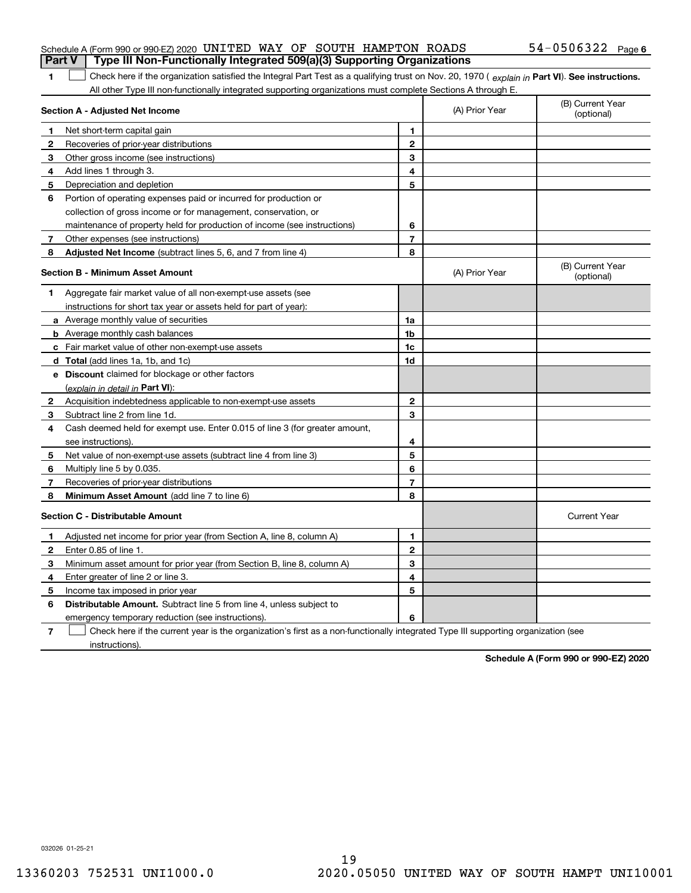|  | Schedule A (Form 990 or 990-EZ) 2020 UNITED WAY OF SOUTH HAMPTON ROADS           |  |  |  | $54 - 0506322$ Page 6 |  |
|--|----------------------------------------------------------------------------------|--|--|--|-----------------------|--|
|  | Part V   Type III Non-Functionally Integrated 509(a)(3) Supporting Organizations |  |  |  |                       |  |

1 Check here if the organization satisfied the Integral Part Test as a qualifying trust on Nov. 20, 1970 (explain in Part VI). See instructions. All other Type III non-functionally integrated supporting organizations must complete Sections A through E.

|              | Section A - Adjusted Net Income                                                                                                   |                | (A) Prior Year | (B) Current Year<br>(optional) |
|--------------|-----------------------------------------------------------------------------------------------------------------------------------|----------------|----------------|--------------------------------|
| 1            | Net short-term capital gain                                                                                                       | 1              |                |                                |
| $\mathbf{2}$ | Recoveries of prior-year distributions                                                                                            | $\mathbf{2}$   |                |                                |
| 3            | Other gross income (see instructions)                                                                                             | 3              |                |                                |
| 4            | Add lines 1 through 3.                                                                                                            | 4              |                |                                |
| 5            | Depreciation and depletion                                                                                                        | 5              |                |                                |
| 6            | Portion of operating expenses paid or incurred for production or                                                                  |                |                |                                |
|              | collection of gross income or for management, conservation, or                                                                    |                |                |                                |
|              | maintenance of property held for production of income (see instructions)                                                          | 6              |                |                                |
| 7            | Other expenses (see instructions)                                                                                                 | $\overline{7}$ |                |                                |
| 8            | Adjusted Net Income (subtract lines 5, 6, and 7 from line 4)                                                                      | 8              |                |                                |
|              | <b>Section B - Minimum Asset Amount</b>                                                                                           |                | (A) Prior Year | (B) Current Year<br>(optional) |
| 1.           | Aggregate fair market value of all non-exempt-use assets (see                                                                     |                |                |                                |
|              | instructions for short tax year or assets held for part of year):                                                                 |                |                |                                |
|              | a Average monthly value of securities                                                                                             | 1a             |                |                                |
|              | <b>b</b> Average monthly cash balances                                                                                            | 1 <sub>b</sub> |                |                                |
|              | c Fair market value of other non-exempt-use assets                                                                                | 1c             |                |                                |
|              | d Total (add lines 1a, 1b, and 1c)                                                                                                | 1d             |                |                                |
|              | e Discount claimed for blockage or other factors                                                                                  |                |                |                                |
|              | (explain in detail in Part VI):                                                                                                   |                |                |                                |
| 2            | Acquisition indebtedness applicable to non-exempt-use assets                                                                      | $\mathbf{2}$   |                |                                |
| 3            | Subtract line 2 from line 1d.                                                                                                     | 3              |                |                                |
| 4            | Cash deemed held for exempt use. Enter 0.015 of line 3 (for greater amount,                                                       |                |                |                                |
|              | see instructions).                                                                                                                | 4              |                |                                |
| 5            | Net value of non-exempt-use assets (subtract line 4 from line 3)                                                                  | 5              |                |                                |
| 6            | Multiply line 5 by 0.035.                                                                                                         | 6              |                |                                |
| 7            | Recoveries of prior-year distributions                                                                                            | 7              |                |                                |
| 8            | Minimum Asset Amount (add line 7 to line 6)                                                                                       | 8              |                |                                |
|              | <b>Section C - Distributable Amount</b>                                                                                           |                |                | <b>Current Year</b>            |
| 1            | Adjusted net income for prior year (from Section A, line 8, column A)                                                             | 1              |                |                                |
| 2            | Enter 0.85 of line 1.                                                                                                             | $\overline{2}$ |                |                                |
| 3            | Minimum asset amount for prior year (from Section B, line 8, column A)                                                            | 3              |                |                                |
| 4            | Enter greater of line 2 or line 3.                                                                                                | 4              |                |                                |
| 5            | Income tax imposed in prior year                                                                                                  | 5              |                |                                |
| 6            | <b>Distributable Amount.</b> Subtract line 5 from line 4, unless subject to                                                       |                |                |                                |
|              | emergency temporary reduction (see instructions).                                                                                 | 6              |                |                                |
| 7            | Check here if the current year is the organization's first as a non-functionally integrated Type III supporting organization (see |                |                |                                |

instructions).

**1**

**Schedule A (Form 990 or 990-EZ) 2020**

032026 01-25-21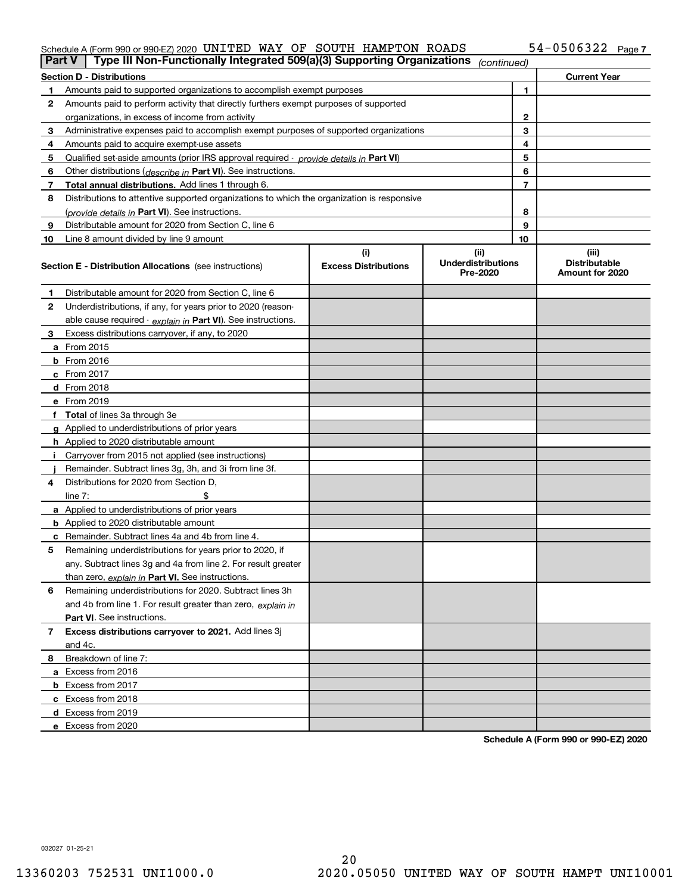#### Schedule A (Form 990 or 990-EZ) 2020 UN L'I'EIJ WAY OF SOU'I'H HAMP'I'ON KOADS 54-U5U6322 Page UNITED WAY OF SOUTH HAMPTON ROADS 54-0506322

| <b>Part V</b> | Type III Non-Functionally Integrated 509(a)(3) Supporting Organizations                    |                             | (continued)                           |              |                                         |
|---------------|--------------------------------------------------------------------------------------------|-----------------------------|---------------------------------------|--------------|-----------------------------------------|
|               | <b>Section D - Distributions</b>                                                           |                             |                                       |              | <b>Current Year</b>                     |
| 1.            | Amounts paid to supported organizations to accomplish exempt purposes                      |                             |                                       | 1            |                                         |
| 2             | Amounts paid to perform activity that directly furthers exempt purposes of supported       |                             |                                       |              |                                         |
|               | organizations, in excess of income from activity                                           |                             |                                       | $\mathbf{2}$ |                                         |
| 3             | Administrative expenses paid to accomplish exempt purposes of supported organizations      |                             |                                       | 3            |                                         |
| 4             | Amounts paid to acquire exempt-use assets                                                  |                             |                                       | 4            |                                         |
| 5             | Qualified set-aside amounts (prior IRS approval required - provide details in Part VI)     |                             |                                       | 5            |                                         |
| 6             | Other distributions ( <i>describe in</i> Part VI). See instructions.                       |                             |                                       | 6            |                                         |
| 7             | Total annual distributions. Add lines 1 through 6.                                         |                             |                                       | 7            |                                         |
| 8             | Distributions to attentive supported organizations to which the organization is responsive |                             |                                       |              |                                         |
|               | (provide details in Part VI). See instructions.                                            |                             |                                       | 8            |                                         |
| 9             | Distributable amount for 2020 from Section C, line 6                                       |                             |                                       | 9            |                                         |
| 10            | Line 8 amount divided by line 9 amount                                                     |                             |                                       | 10           |                                         |
|               |                                                                                            | (i)                         | (ii)                                  |              | (iii)                                   |
|               | <b>Section E - Distribution Allocations</b> (see instructions)                             | <b>Excess Distributions</b> | <b>Underdistributions</b><br>Pre-2020 |              | <b>Distributable</b><br>Amount for 2020 |
| 1             | Distributable amount for 2020 from Section C, line 6                                       |                             |                                       |              |                                         |
| 2             | Underdistributions, if any, for years prior to 2020 (reason-                               |                             |                                       |              |                                         |
|               | able cause required - explain in Part VI). See instructions.                               |                             |                                       |              |                                         |
| 3             | Excess distributions carryover, if any, to 2020                                            |                             |                                       |              |                                         |
|               | a From 2015                                                                                |                             |                                       |              |                                         |
|               | <b>b</b> From 2016                                                                         |                             |                                       |              |                                         |
|               | $c$ From 2017                                                                              |                             |                                       |              |                                         |
|               | d From 2018                                                                                |                             |                                       |              |                                         |
|               | e From 2019                                                                                |                             |                                       |              |                                         |
|               | f Total of lines 3a through 3e                                                             |                             |                                       |              |                                         |
|               | g Applied to underdistributions of prior years                                             |                             |                                       |              |                                         |
|               | <b>h</b> Applied to 2020 distributable amount                                              |                             |                                       |              |                                         |
|               | Carryover from 2015 not applied (see instructions)                                         |                             |                                       |              |                                         |
|               | Remainder. Subtract lines 3g, 3h, and 3i from line 3f.                                     |                             |                                       |              |                                         |
| 4             | Distributions for 2020 from Section D,                                                     |                             |                                       |              |                                         |
|               | line $7:$                                                                                  |                             |                                       |              |                                         |
|               | a Applied to underdistributions of prior years                                             |                             |                                       |              |                                         |
|               | <b>b</b> Applied to 2020 distributable amount                                              |                             |                                       |              |                                         |
|               | c Remainder. Subtract lines 4a and 4b from line 4.                                         |                             |                                       |              |                                         |
| 5             | Remaining underdistributions for years prior to 2020, if                                   |                             |                                       |              |                                         |
|               | any. Subtract lines 3g and 4a from line 2. For result greater                              |                             |                                       |              |                                         |
|               | than zero, explain in Part VI. See instructions.                                           |                             |                                       |              |                                         |
| 6             | Remaining underdistributions for 2020. Subtract lines 3h                                   |                             |                                       |              |                                         |
|               | and 4b from line 1. For result greater than zero, explain in                               |                             |                                       |              |                                         |
|               | Part VI. See instructions.                                                                 |                             |                                       |              |                                         |
| 7             | Excess distributions carryover to 2021. Add lines 3j                                       |                             |                                       |              |                                         |
|               | and 4c.                                                                                    |                             |                                       |              |                                         |
| 8             | Breakdown of line 7:                                                                       |                             |                                       |              |                                         |
|               | a Excess from 2016                                                                         |                             |                                       |              |                                         |
|               | <b>b</b> Excess from 2017                                                                  |                             |                                       |              |                                         |
|               | c Excess from 2018                                                                         |                             |                                       |              |                                         |
|               | d Excess from 2019                                                                         |                             |                                       |              |                                         |
|               | e Excess from 2020                                                                         |                             |                                       |              |                                         |
|               |                                                                                            |                             |                                       |              |                                         |

**Schedule A (Form 990 or 990-EZ) 2020**

032027 01-25-21